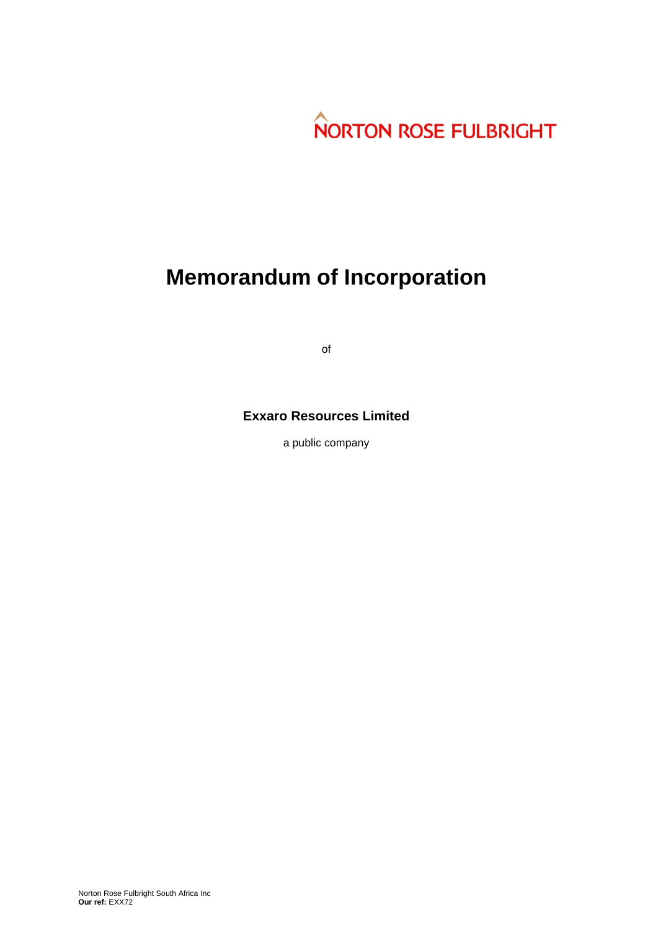

# **Memorandum of Incorporation**

of

# **Exxaro Resources Limited**

a public company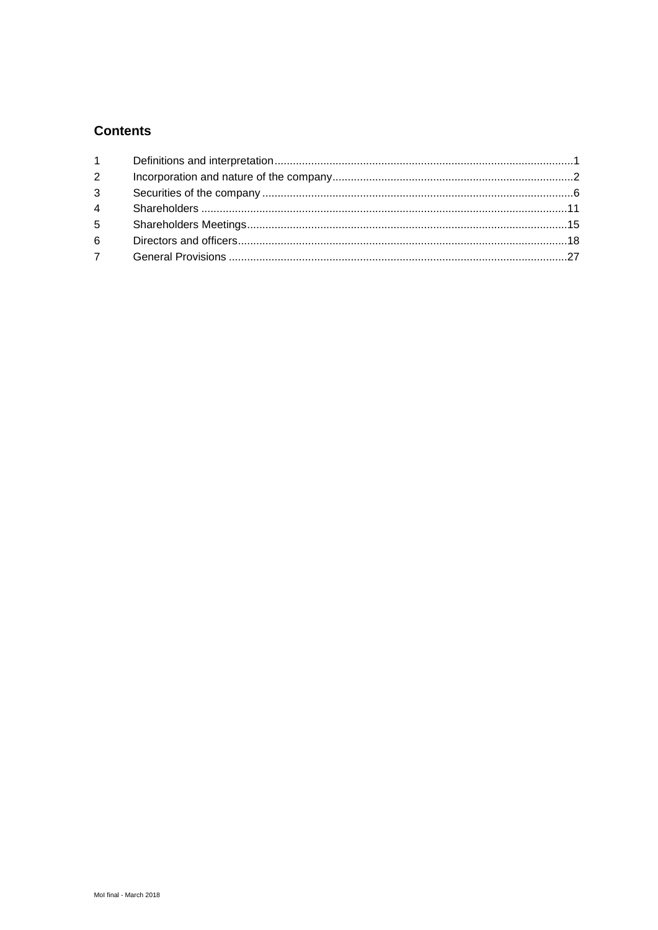# **Contents**

| $7^{\circ}$ |  |
|-------------|--|
|             |  |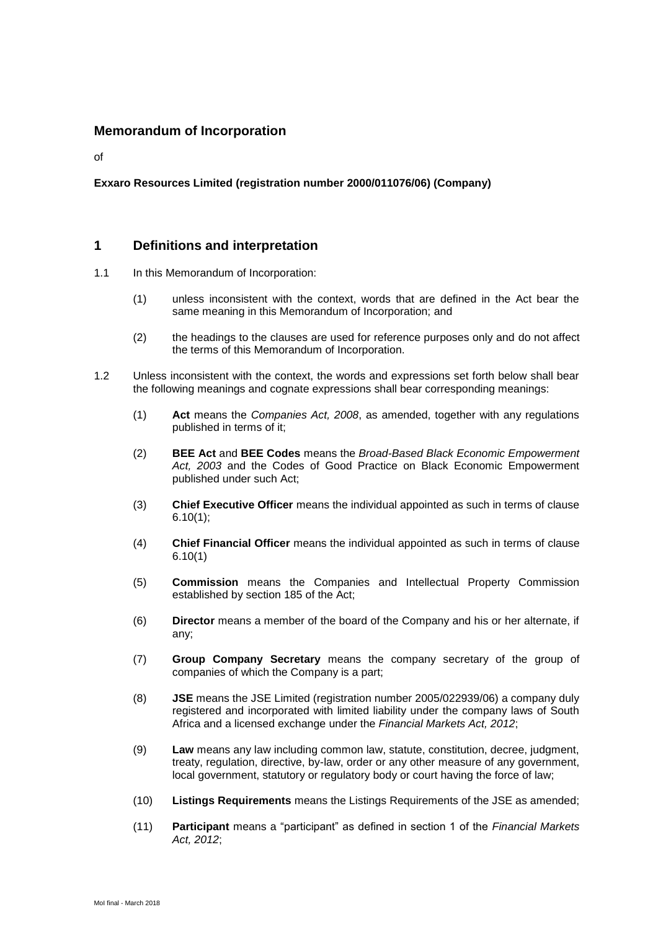# **Memorandum of Incorporation**

of

# **Exxaro Resources Limited (registration number 2000/011076/06) (Company)**

# **1 Definitions and interpretation**

- 1.1 In this Memorandum of Incorporation:
	- (1) unless inconsistent with the context, words that are defined in the Act bear the same meaning in this Memorandum of Incorporation; and
	- (2) the headings to the clauses are used for reference purposes only and do not affect the terms of this Memorandum of Incorporation.
- 1.2 Unless inconsistent with the context, the words and expressions set forth below shall bear the following meanings and cognate expressions shall bear corresponding meanings:
	- (1) **Act** means the *Companies Act, 2008*, as amended, together with any regulations published in terms of it;
	- (2) **BEE Act** and **BEE Codes** means the *Broad-Based Black Economic Empowerment Act, 2003* and the Codes of Good Practice on Black Economic Empowerment published under such Act;
	- (3) **Chief Executive Officer** means the individual appointed as such in terms of clause [6.10\(1\);](#page-26-0)
	- (4) **Chief Financial Officer** means the individual appointed as such in terms of clause 6.10(1)
	- (5) **Commission** means the Companies and Intellectual Property Commission established by section 185 of the Act;
	- (6) **Director** means a member of the board of the Company and his or her alternate, if any;
	- (7) **Group Company Secretary** means the company secretary of the group of companies of which the Company is a part;
	- (8) **JSE** means the JSE Limited (registration number 2005/022939/06) a company duly registered and incorporated with limited liability under the company laws of South Africa and a licensed exchange under the *Financial Markets Act, 2012*;
	- (9) **Law** means any law including common law, statute, constitution, decree, judgment, treaty, regulation, directive, by-law, order or any other measure of any government, local government, statutory or regulatory body or court having the force of law;
	- (10) **Listings Requirements** means the Listings Requirements of the JSE as amended;
	- (11) **Participant** means a "participant" as defined in section 1 of the *Financial Markets Act, 2012*;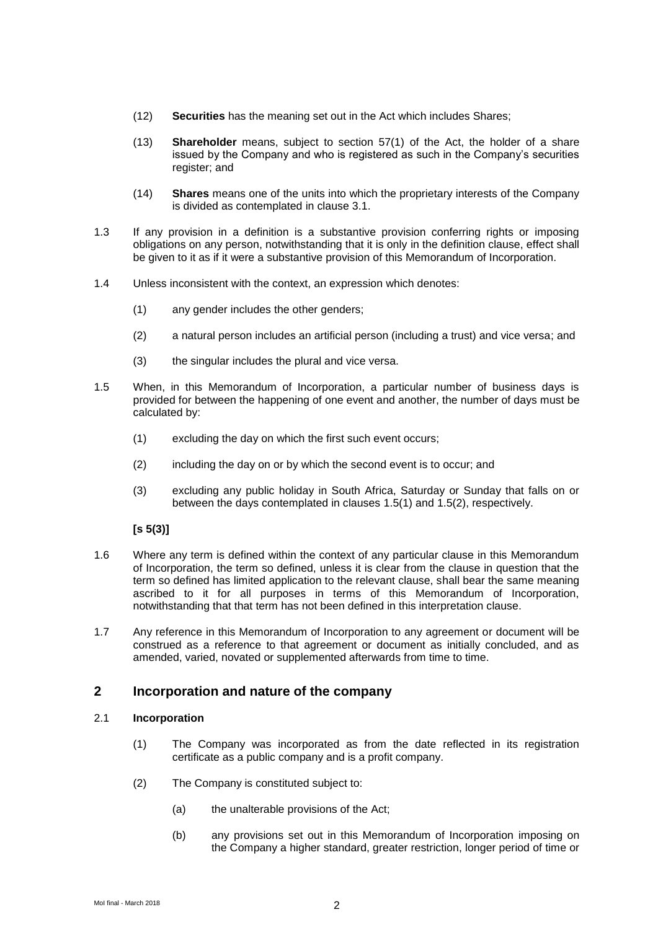- (12) **Securities** has the meaning set out in the Act which includes Shares;
- (13) **Shareholder** means, subject to section 57(1) of the Act, the holder of a share issued by the Company and who is registered as such in the Company's securities register; and
- (14) **Shares** means one of the units into which the proprietary interests of the Company is divided as contemplated in clause [3.1.](#page-7-0)
- 1.3 If any provision in a definition is a substantive provision conferring rights or imposing obligations on any person, notwithstanding that it is only in the definition clause, effect shall be given to it as if it were a substantive provision of this Memorandum of Incorporation.
- 1.4 Unless inconsistent with the context, an expression which denotes:
	- (1) any gender includes the other genders;
	- (2) a natural person includes an artificial person (including a trust) and vice versa; and
	- (3) the singular includes the plural and vice versa.
- <span id="page-3-1"></span><span id="page-3-0"></span>1.5 When, in this Memorandum of Incorporation, a particular number of business days is provided for between the happening of one event and another, the number of days must be calculated by:
	- (1) excluding the day on which the first such event occurs;
	- (2) including the day on or by which the second event is to occur; and
	- (3) excluding any public holiday in South Africa, Saturday or Sunday that falls on or between the days contemplated in clauses [1.5\(1\)](#page-3-0) and [1.5\(2\),](#page-3-1) respectively.

# **[s 5(3)]**

- 1.6 Where any term is defined within the context of any particular clause in this Memorandum of Incorporation, the term so defined, unless it is clear from the clause in question that the term so defined has limited application to the relevant clause, shall bear the same meaning ascribed to it for all purposes in terms of this Memorandum of Incorporation, notwithstanding that that term has not been defined in this interpretation clause.
- 1.7 Any reference in this Memorandum of Incorporation to any agreement or document will be construed as a reference to that agreement or document as initially concluded, and as amended, varied, novated or supplemented afterwards from time to time.

# **2 Incorporation and nature of the company**

### 2.1 **Incorporation**

- (1) The Company was incorporated as from the date reflected in its registration certificate as a public company and is a profit company.
- (2) The Company is constituted subject to:
	- (a) the unalterable provisions of the Act;
	- (b) any provisions set out in this Memorandum of Incorporation imposing on the Company a higher standard, greater restriction, longer period of time or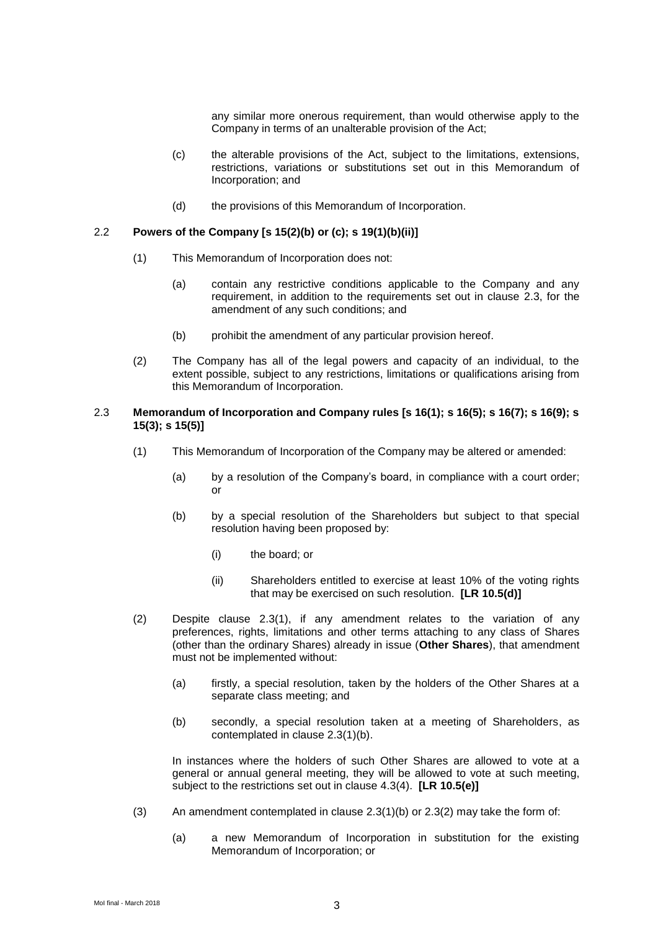any similar more onerous requirement, than would otherwise apply to the Company in terms of an unalterable provision of the Act;

- (c) the alterable provisions of the Act, subject to the limitations, extensions, restrictions, variations or substitutions set out in this Memorandum of Incorporation; and
- (d) the provisions of this Memorandum of Incorporation.

#### 2.2 **Powers of the Company [s 15(2)(b) or (c); s 19(1)(b)(ii)]**

- (1) This Memorandum of Incorporation does not:
	- (a) contain any restrictive conditions applicable to the Company and any requirement, in addition to the requirements set out in clause [2.3,](#page-4-0) for the amendment of any such conditions; and
	- (b) prohibit the amendment of any particular provision hereof.
- (2) The Company has all of the legal powers and capacity of an individual, to the extent possible, subject to any restrictions, limitations or qualifications arising from this Memorandum of Incorporation.

#### <span id="page-4-1"></span><span id="page-4-0"></span>2.3 **Memorandum of Incorporation and Company rules [s 16(1); s 16(5); s 16(7); s 16(9); s 15(3); s 15(5)]**

- <span id="page-4-2"></span>(1) This Memorandum of Incorporation of the Company may be altered or amended:
	- (a) by a resolution of the Company's board, in compliance with a court order; or
	- (b) by a special resolution of the Shareholders but subject to that special resolution having been proposed by:
		- (i) the board; or
		- (ii) Shareholders entitled to exercise at least 10% of the voting rights that may be exercised on such resolution. **[LR 10.5(d)]**
- <span id="page-4-3"></span>(2) Despite clause [2.3\(1\),](#page-4-1) if any amendment relates to the variation of any preferences, rights, limitations and other terms attaching to any class of Shares (other than the ordinary Shares) already in issue (**Other Shares**), that amendment must not be implemented without:
	- (a) firstly, a special resolution, taken by the holders of the Other Shares at a separate class meeting; and
	- (b) secondly, a special resolution taken at a meeting of Shareholders, as contemplated in clause 2.3(1)(b).

In instances where the holders of such Other Shares are allowed to vote at a general or annual general meeting, they will be allowed to vote at such meeting, subject to the restrictions set out in clause [4.3\(4\).](#page-13-0) **[LR 10.5(e)]**

- (3) An amendment contemplated in clause  $2.3(1)(b)$  or  $2.3(2)$  may take the form of:
	- (a) a new Memorandum of Incorporation in substitution for the existing Memorandum of Incorporation; or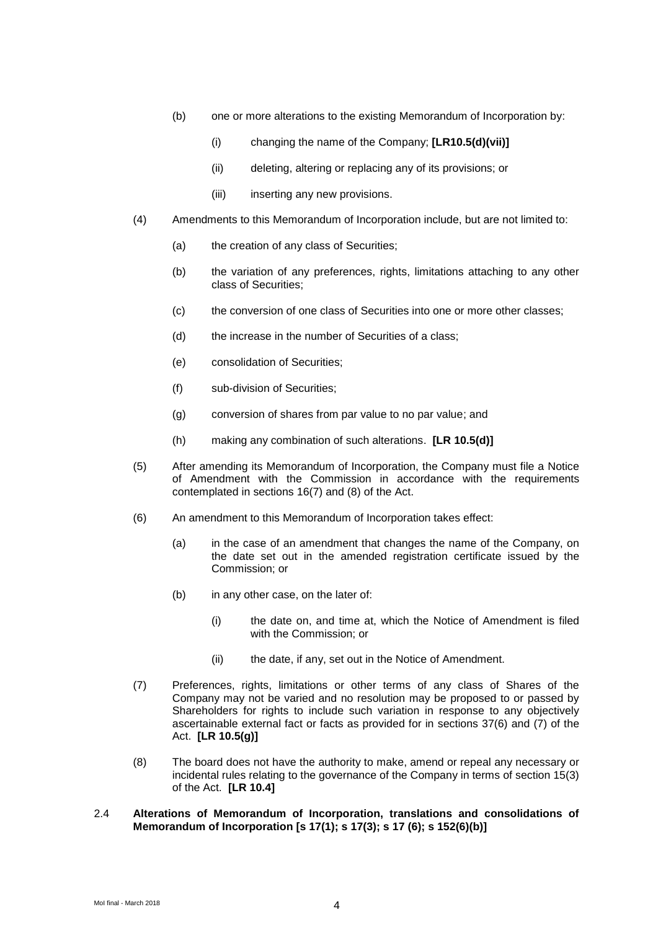- (b) one or more alterations to the existing Memorandum of Incorporation by:
	- (i) changing the name of the Company; **[LR10.5(d)(vii)]**
	- (ii) deleting, altering or replacing any of its provisions; or
	- (iii) inserting any new provisions.
- (4) Amendments to this Memorandum of Incorporation include, but are not limited to:
	- (a) the creation of any class of Securities;
	- (b) the variation of any preferences, rights, limitations attaching to any other class of Securities;
	- (c) the conversion of one class of Securities into one or more other classes;
	- (d) the increase in the number of Securities of a class;
	- (e) consolidation of Securities;
	- (f) sub-division of Securities;
	- (g) conversion of shares from par value to no par value; and
	- (h) making any combination of such alterations. **[LR 10.5(d)]**
- (5) After amending its Memorandum of Incorporation, the Company must file a Notice of Amendment with the Commission in accordance with the requirements contemplated in sections 16(7) and (8) of the Act.
- (6) An amendment to this Memorandum of Incorporation takes effect:
	- (a) in the case of an amendment that changes the name of the Company, on the date set out in the amended registration certificate issued by the Commission; or
	- (b) in any other case, on the later of:
		- (i) the date on, and time at, which the Notice of Amendment is filed with the Commission; or
		- (ii) the date, if any, set out in the Notice of Amendment.
- (7) Preferences, rights, limitations or other terms of any class of Shares of the Company may not be varied and no resolution may be proposed to or passed by Shareholders for rights to include such variation in response to any objectively ascertainable external fact or facts as provided for in sections 37(6) and (7) of the Act. **[LR 10.5(g)]**
- (8) The board does not have the authority to make, amend or repeal any necessary or incidental rules relating to the governance of the Company in terms of section 15(3) of the Act. **[LR 10.4]**
- 2.4 **Alterations of Memorandum of Incorporation, translations and consolidations of Memorandum of Incorporation [s 17(1); s 17(3); s 17 (6); s 152(6)(b)]**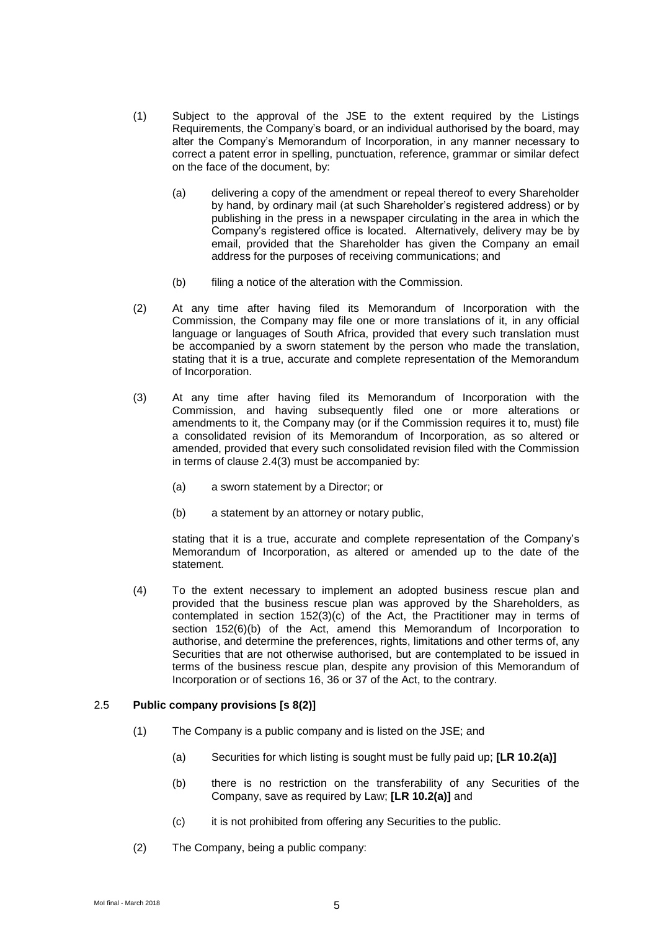- (1) Subject to the approval of the JSE to the extent required by the Listings Requirements, the Company's board, or an individual authorised by the board, may alter the Company's Memorandum of Incorporation, in any manner necessary to correct a patent error in spelling, punctuation, reference, grammar or similar defect on the face of the document, by:
	- (a) delivering a copy of the amendment or repeal thereof to every Shareholder by hand, by ordinary mail (at such Shareholder's registered address) or by publishing in the press in a newspaper circulating in the area in which the Company's registered office is located. Alternatively, delivery may be by email, provided that the Shareholder has given the Company an email address for the purposes of receiving communications; and
	- (b) filing a notice of the alteration with the Commission.
- (2) At any time after having filed its Memorandum of Incorporation with the Commission, the Company may file one or more translations of it, in any official language or languages of South Africa, provided that every such translation must be accompanied by a sworn statement by the person who made the translation, stating that it is a true, accurate and complete representation of the Memorandum of Incorporation.
- <span id="page-6-0"></span>(3) At any time after having filed its Memorandum of Incorporation with the Commission, and having subsequently filed one or more alterations or amendments to it, the Company may (or if the Commission requires it to, must) file a consolidated revision of its Memorandum of Incorporation, as so altered or amended, provided that every such consolidated revision filed with the Commission in terms of clause [2.4\(3\)](#page-6-0) must be accompanied by:
	- (a) a sworn statement by a Director; or
	- (b) a statement by an attorney or notary public,

stating that it is a true, accurate and complete representation of the Company's Memorandum of Incorporation, as altered or amended up to the date of the statement.

(4) To the extent necessary to implement an adopted business rescue plan and provided that the business rescue plan was approved by the Shareholders, as contemplated in section 152(3)(c) of the Act, the Practitioner may in terms of section 152(6)(b) of the Act, amend this Memorandum of Incorporation to authorise, and determine the preferences, rights, limitations and other terms of, any Securities that are not otherwise authorised, but are contemplated to be issued in terms of the business rescue plan, despite any provision of this Memorandum of Incorporation or of sections 16, 36 or 37 of the Act, to the contrary.

#### 2.5 **Public company provisions [s 8(2)]**

- (1) The Company is a public company and is listed on the JSE; and
	- (a) Securities for which listing is sought must be fully paid up; **[LR 10.2(a)]**
	- (b) there is no restriction on the transferability of any Securities of the Company, save as required by Law; **[LR 10.2(a)]** and
	- (c) it is not prohibited from offering any Securities to the public.
- (2) The Company, being a public company: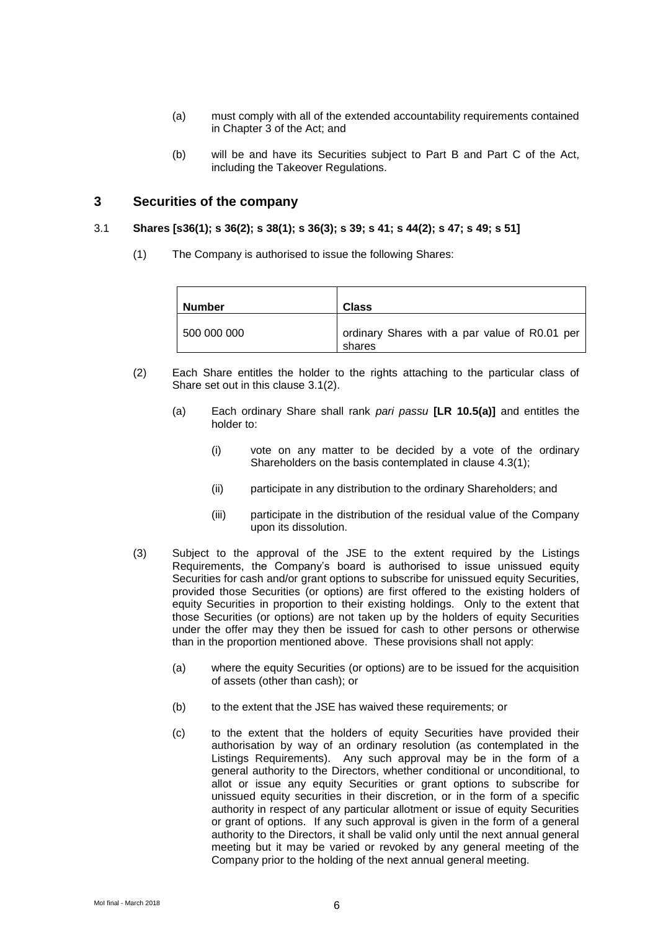- (a) must comply with all of the extended accountability requirements contained in Chapter 3 of the Act; and
- (b) will be and have its Securities subject to Part B and Part C of the Act, including the Takeover Regulations.

# **3 Securities of the company**

#### <span id="page-7-0"></span>3.1 **Shares [s36(1); s 36(2); s 38(1); s 36(3); s 39; s 41; s 44(2); s 47; s 49; s 51]**

(1) The Company is authorised to issue the following Shares:

| <b>Number</b> | <b>Class</b>                                            |
|---------------|---------------------------------------------------------|
| 500 000 000   | ordinary Shares with a par value of R0.01 per<br>shares |

- <span id="page-7-1"></span>(2) Each Share entitles the holder to the rights attaching to the particular class of Share set out in this clause [3.1\(2\).](#page-7-1)
	- (a) Each ordinary Share shall rank *pari passu* **[LR 10.5(a)]** and entitles the holder to:
		- (i) vote on any matter to be decided by a vote of the ordinary Shareholders on the basis contemplated in clause [4.3\(1\);](#page-12-0)
		- (ii) participate in any distribution to the ordinary Shareholders; and
		- (iii) participate in the distribution of the residual value of the Company upon its dissolution.
- <span id="page-7-3"></span><span id="page-7-2"></span>(3) Subject to the approval of the JSE to the extent required by the Listings Requirements, the Company's board is authorised to issue unissued equity Securities for cash and/or grant options to subscribe for unissued equity Securities, provided those Securities (or options) are first offered to the existing holders of equity Securities in proportion to their existing holdings. Only to the extent that those Securities (or options) are not taken up by the holders of equity Securities under the offer may they then be issued for cash to other persons or otherwise than in the proportion mentioned above. These provisions shall not apply:
	- (a) where the equity Securities (or options) are to be issued for the acquisition of assets (other than cash); or
	- (b) to the extent that the JSE has waived these requirements; or
	- (c) to the extent that the holders of equity Securities have provided their authorisation by way of an ordinary resolution (as contemplated in the Listings Requirements). Any such approval may be in the form of a general authority to the Directors, whether conditional or unconditional, to allot or issue any equity Securities or grant options to subscribe for unissued equity securities in their discretion, or in the form of a specific authority in respect of any particular allotment or issue of equity Securities or grant of options. If any such approval is given in the form of a general authority to the Directors, it shall be valid only until the next annual general meeting but it may be varied or revoked by any general meeting of the Company prior to the holding of the next annual general meeting.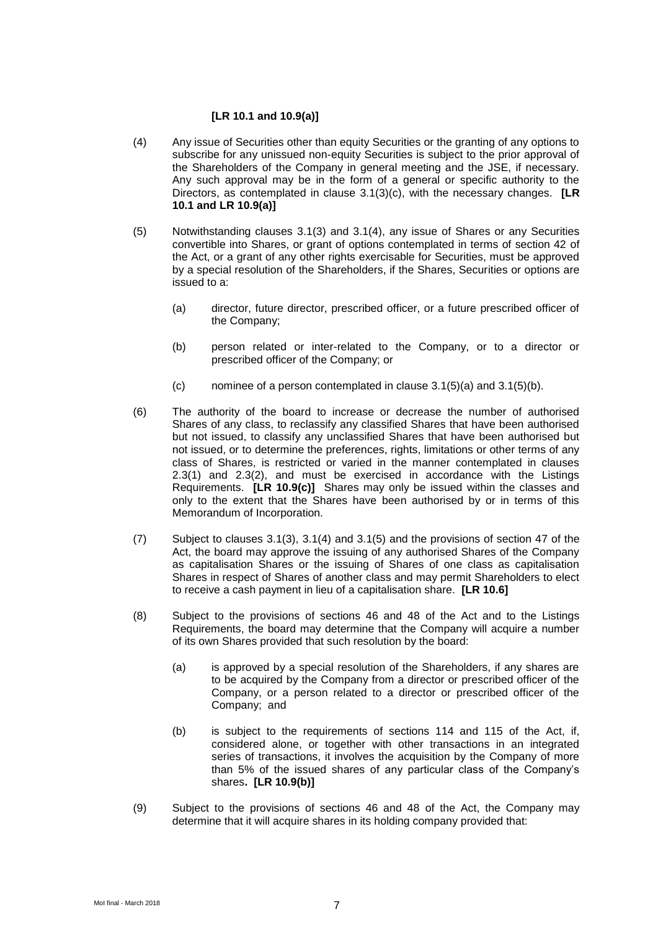#### **[LR 10.1 and 10.9(a)]**

- <span id="page-8-0"></span>(4) Any issue of Securities other than equity Securities or the granting of any options to subscribe for any unissued non-equity Securities is subject to the prior approval of the Shareholders of the Company in general meeting and the JSE, if necessary. Any such approval may be in the form of a general or specific authority to the Directors, as contemplated in clause [3.1\(3\)\(c\),](#page-7-2) with the necessary changes. **[LR 10.1 and LR 10.9(a)]**
- <span id="page-8-3"></span><span id="page-8-1"></span>(5) Notwithstanding clauses [3.1\(3\)](#page-7-3) and [3.1\(4\),](#page-8-0) any issue of Shares or any Securities convertible into Shares, or grant of options contemplated in terms of section 42 of the Act, or a grant of any other rights exercisable for Securities, must be approved by a special resolution of the Shareholders, if the Shares, Securities or options are issued to a:
	- (a) director, future director, prescribed officer, or a future prescribed officer of the Company;
	- (b) person related or inter-related to the Company, or to a director or prescribed officer of the Company; or
	- $(c)$  nominee of a person contemplated in clause [3.1\(5\)\(a\)](#page-8-1) and [3.1\(5\)\(b\).](#page-8-2)
- <span id="page-8-2"></span>(6) The authority of the board to increase or decrease the number of authorised Shares of any class, to reclassify any classified Shares that have been authorised but not issued, to classify any unclassified Shares that have been authorised but not issued, or to determine the preferences, rights, limitations or other terms of any class of Shares, is restricted or varied in the manner contemplated in clauses [2.3\(1\)](#page-4-1) and [2.3\(2\),](#page-4-3) and must be exercised in accordance with the Listings Requirements. **[LR 10.9(c)]** Shares may only be issued within the classes and only to the extent that the Shares have been authorised by or in terms of this Memorandum of Incorporation.
- (7) Subject to clauses [3.1\(3\),](#page-7-3) [3.1\(4\)](#page-8-0) and [3.1\(5\)](#page-8-3) and the provisions of section 47 of the Act, the board may approve the issuing of any authorised Shares of the Company as capitalisation Shares or the issuing of Shares of one class as capitalisation Shares in respect of Shares of another class and may permit Shareholders to elect to receive a cash payment in lieu of a capitalisation share. **[LR 10.6]**
- (8) Subject to the provisions of sections 46 and 48 of the Act and to the Listings Requirements, the board may determine that the Company will acquire a number of its own Shares provided that such resolution by the board:
	- (a) is approved by a special resolution of the Shareholders, if any shares are to be acquired by the Company from a director or prescribed officer of the Company, or a person related to a director or prescribed officer of the Company; and
	- (b) is subject to the requirements of sections 114 and 115 of the Act, if, considered alone, or together with other transactions in an integrated series of transactions, it involves the acquisition by the Company of more than 5% of the issued shares of any particular class of the Company's shares**. [LR 10.9(b)]**
- (9) Subject to the provisions of sections 46 and 48 of the Act, the Company may determine that it will acquire shares in its holding company provided that: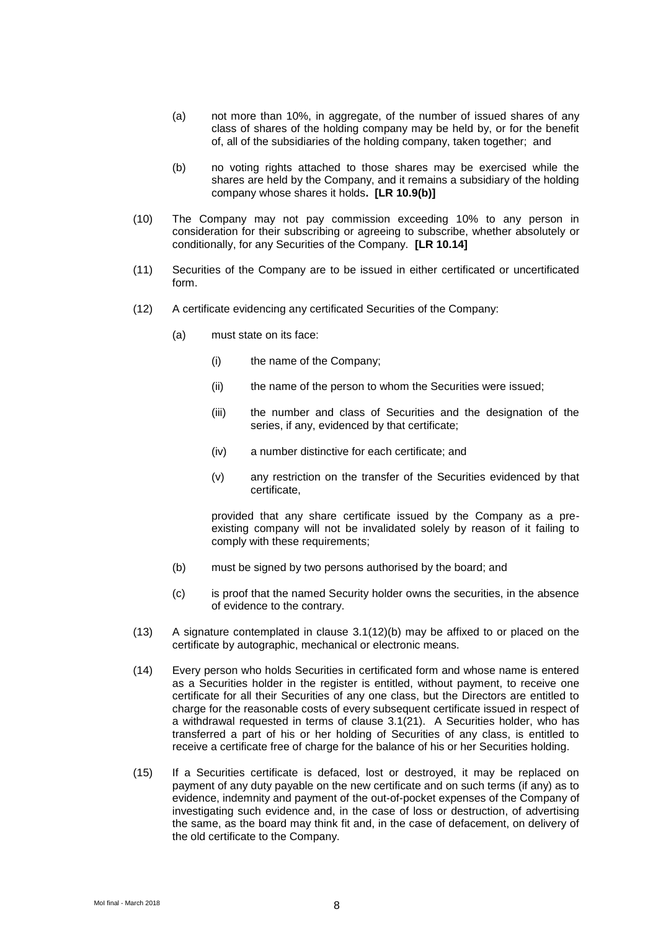- (a) not more than 10%, in aggregate, of the number of issued shares of any class of shares of the holding company may be held by, or for the benefit of, all of the subsidiaries of the holding company, taken together; and
- (b) no voting rights attached to those shares may be exercised while the shares are held by the Company, and it remains a subsidiary of the holding company whose shares it holds**. [LR 10.9(b)]**
- (10) The Company may not pay commission exceeding 10% to any person in consideration for their subscribing or agreeing to subscribe, whether absolutely or conditionally, for any Securities of the Company. **[LR 10.14]**
- (11) Securities of the Company are to be issued in either certificated or uncertificated form.
- (12) A certificate evidencing any certificated Securities of the Company:
	- (a) must state on its face:
		- (i) the name of the Company;
		- (ii) the name of the person to whom the Securities were issued;
		- (iii) the number and class of Securities and the designation of the series, if any, evidenced by that certificate;
		- (iv) a number distinctive for each certificate; and
		- (v) any restriction on the transfer of the Securities evidenced by that certificate,

provided that any share certificate issued by the Company as a preexisting company will not be invalidated solely by reason of it failing to comply with these requirements:

- <span id="page-9-0"></span>(b) must be signed by two persons authorised by the board; and
- (c) is proof that the named Security holder owns the securities, in the absence of evidence to the contrary.
- (13) A signature contemplated in clause [3.1\(12\)\(b\)](#page-9-0) may be affixed to or placed on the certificate by autographic, mechanical or electronic means.
- (14) Every person who holds Securities in certificated form and whose name is entered as a Securities holder in the register is entitled, without payment, to receive one certificate for all their Securities of any one class, but the Directors are entitled to charge for the reasonable costs of every subsequent certificate issued in respect of a withdrawal requested in terms of clause [3.1\(21\).](#page-11-0) A Securities holder, who has transferred a part of his or her holding of Securities of any class, is entitled to receive a certificate free of charge for the balance of his or her Securities holding.
- <span id="page-9-1"></span>(15) If a Securities certificate is defaced, lost or destroyed, it may be replaced on payment of any duty payable on the new certificate and on such terms (if any) as to evidence, indemnity and payment of the out-of-pocket expenses of the Company of investigating such evidence and, in the case of loss or destruction, of advertising the same, as the board may think fit and, in the case of defacement, on delivery of the old certificate to the Company.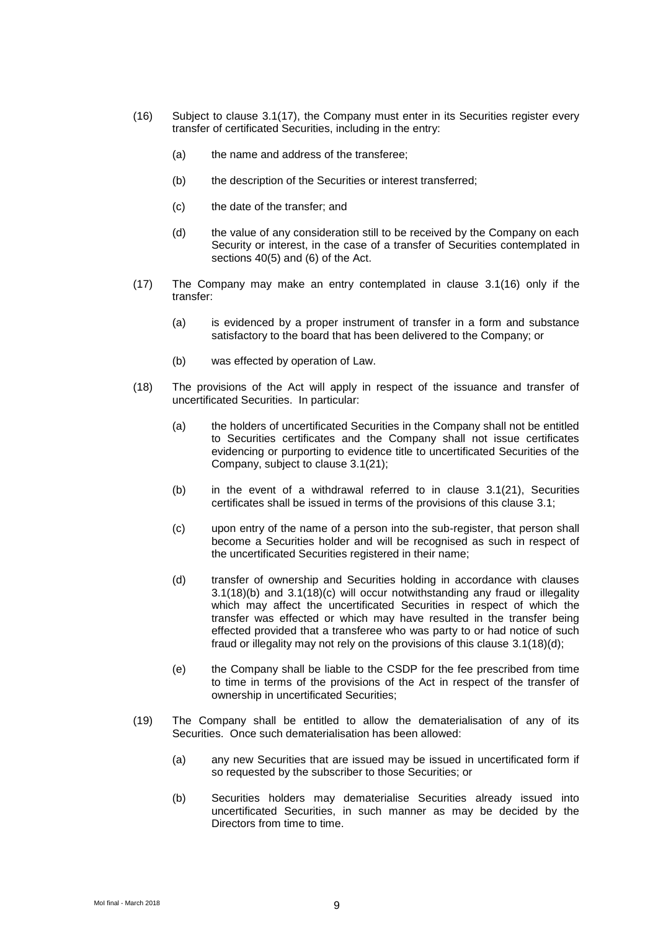- <span id="page-10-1"></span>(16) Subject to clause [3.1\(17\),](#page-10-0) the Company must enter in its Securities register every transfer of certificated Securities, including in the entry:
	- (a) the name and address of the transferee;
	- (b) the description of the Securities or interest transferred;
	- (c) the date of the transfer; and
	- (d) the value of any consideration still to be received by the Company on each Security or interest, in the case of a transfer of Securities contemplated in sections 40(5) and (6) of the Act.
- <span id="page-10-0"></span>(17) The Company may make an entry contemplated in clause [3.1\(16\)](#page-10-1) only if the transfer:
	- (a) is evidenced by a proper instrument of transfer in a form and substance satisfactory to the board that has been delivered to the Company; or
	- (b) was effected by operation of Law.
- <span id="page-10-3"></span><span id="page-10-2"></span>(18) The provisions of the Act will apply in respect of the issuance and transfer of uncertificated Securities. In particular:
	- (a) the holders of uncertificated Securities in the Company shall not be entitled to Securities certificates and the Company shall not issue certificates evidencing or purporting to evidence title to uncertificated Securities of the Company, subject to clause [3.1\(21\);](#page-11-0)
	- (b) in the event of a withdrawal referred to in clause [3.1\(21\),](#page-11-0) Securities certificates shall be issued in terms of the provisions of this clause [3.1;](#page-7-0)
	- (c) upon entry of the name of a person into the sub-register, that person shall become a Securities holder and will be recognised as such in respect of the uncertificated Securities registered in their name;
	- (d) transfer of ownership and Securities holding in accordance with clauses [3.1\(18\)\(b\)](#page-10-2) and [3.1\(18\)\(c\)](#page-10-3) will occur notwithstanding any fraud or illegality which may affect the uncertificated Securities in respect of which the transfer was effected or which may have resulted in the transfer being effected provided that a transferee who was party to or had notice of such fraud or illegality may not rely on the provisions of this clause [3.1\(18\)\(d\);](#page-10-4)
	- (e) the Company shall be liable to the CSDP for the fee prescribed from time to time in terms of the provisions of the Act in respect of the transfer of ownership in uncertificated Securities;
- <span id="page-10-5"></span><span id="page-10-4"></span>(19) The Company shall be entitled to allow the dematerialisation of any of its Securities. Once such dematerialisation has been allowed:
	- (a) any new Securities that are issued may be issued in uncertificated form if so requested by the subscriber to those Securities; or
	- (b) Securities holders may dematerialise Securities already issued into uncertificated Securities, in such manner as may be decided by the Directors from time to time.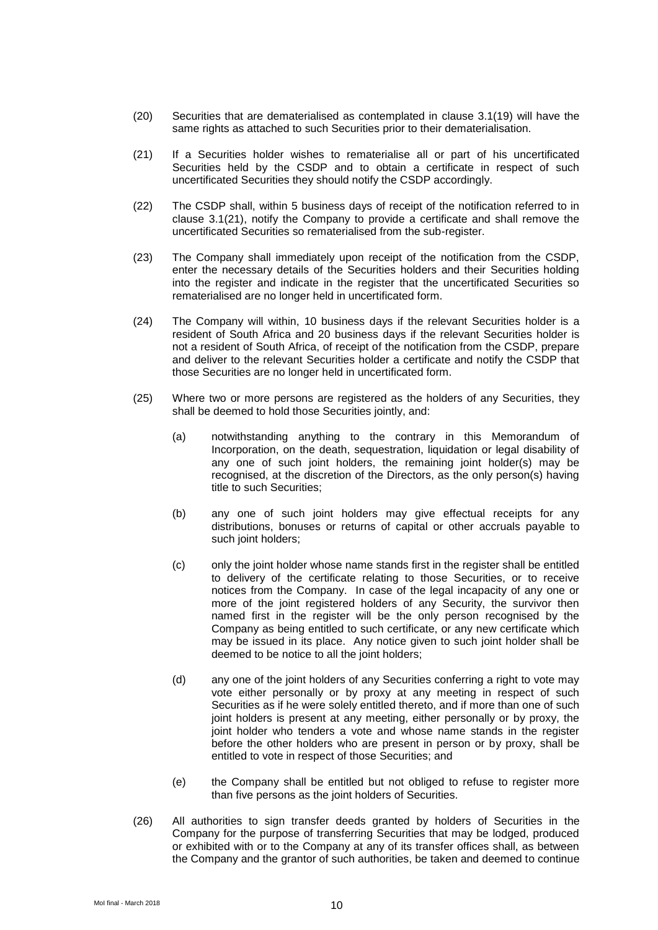- (20) Securities that are dematerialised as contemplated in clause [3.1\(19\)](#page-10-5) will have the same rights as attached to such Securities prior to their dematerialisation.
- <span id="page-11-0"></span>(21) If a Securities holder wishes to rematerialise all or part of his uncertificated Securities held by the CSDP and to obtain a certificate in respect of such uncertificated Securities they should notify the CSDP accordingly.
- (22) The CSDP shall, within 5 business days of receipt of the notification referred to in clause [3.1\(21\),](#page-11-0) notify the Company to provide a certificate and shall remove the uncertificated Securities so rematerialised from the sub-register.
- (23) The Company shall immediately upon receipt of the notification from the CSDP, enter the necessary details of the Securities holders and their Securities holding into the register and indicate in the register that the uncertificated Securities so rematerialised are no longer held in uncertificated form.
- (24) The Company will within, 10 business days if the relevant Securities holder is a resident of South Africa and 20 business days if the relevant Securities holder is not a resident of South Africa, of receipt of the notification from the CSDP, prepare and deliver to the relevant Securities holder a certificate and notify the CSDP that those Securities are no longer held in uncertificated form.
- (25) Where two or more persons are registered as the holders of any Securities, they shall be deemed to hold those Securities jointly, and:
	- (a) notwithstanding anything to the contrary in this Memorandum of Incorporation, on the death, sequestration, liquidation or legal disability of any one of such joint holders, the remaining joint holder(s) may be recognised, at the discretion of the Directors, as the only person(s) having title to such Securities;
	- (b) any one of such joint holders may give effectual receipts for any distributions, bonuses or returns of capital or other accruals payable to such joint holders;
	- (c) only the joint holder whose name stands first in the register shall be entitled to delivery of the certificate relating to those Securities, or to receive notices from the Company. In case of the legal incapacity of any one or more of the joint registered holders of any Security, the survivor then named first in the register will be the only person recognised by the Company as being entitled to such certificate, or any new certificate which may be issued in its place. Any notice given to such joint holder shall be deemed to be notice to all the joint holders;
	- (d) any one of the joint holders of any Securities conferring a right to vote may vote either personally or by proxy at any meeting in respect of such Securities as if he were solely entitled thereto, and if more than one of such joint holders is present at any meeting, either personally or by proxy, the joint holder who tenders a vote and whose name stands in the register before the other holders who are present in person or by proxy, shall be entitled to vote in respect of those Securities; and
	- (e) the Company shall be entitled but not obliged to refuse to register more than five persons as the joint holders of Securities.
- (26) All authorities to sign transfer deeds granted by holders of Securities in the Company for the purpose of transferring Securities that may be lodged, produced or exhibited with or to the Company at any of its transfer offices shall, as between the Company and the grantor of such authorities, be taken and deemed to continue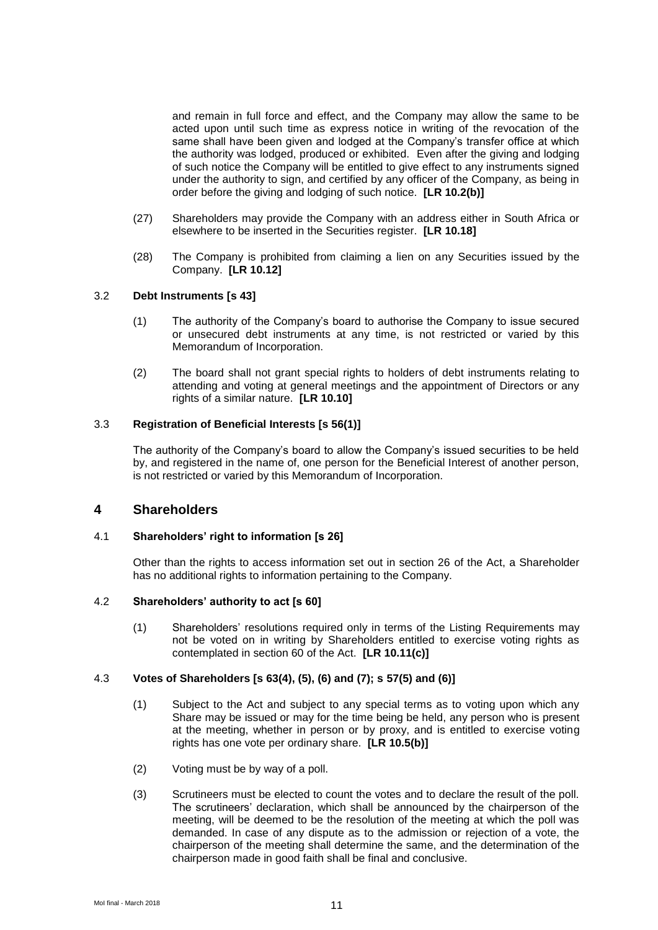and remain in full force and effect, and the Company may allow the same to be acted upon until such time as express notice in writing of the revocation of the same shall have been given and lodged at the Company's transfer office at which the authority was lodged, produced or exhibited. Even after the giving and lodging of such notice the Company will be entitled to give effect to any instruments signed under the authority to sign, and certified by any officer of the Company, as being in order before the giving and lodging of such notice. **[LR 10.2(b)]**

- (27) Shareholders may provide the Company with an address either in South Africa or elsewhere to be inserted in the Securities register. **[LR 10.18]**
- (28) The Company is prohibited from claiming a lien on any Securities issued by the Company. **[LR 10.12]**

### 3.2 **Debt Instruments [s 43]**

- (1) The authority of the Company's board to authorise the Company to issue secured or unsecured debt instruments at any time, is not restricted or varied by this Memorandum of Incorporation.
- (2) The board shall not grant special rights to holders of debt instruments relating to attending and voting at general meetings and the appointment of Directors or any rights of a similar nature. **[LR 10.10]**

#### 3.3 **Registration of Beneficial Interests [s 56(1)]**

The authority of the Company's board to allow the Company's issued securities to be held by, and registered in the name of, one person for the Beneficial Interest of another person, is not restricted or varied by this Memorandum of Incorporation.

# **4 Shareholders**

# 4.1 **Shareholders' right to information [s 26]**

Other than the rights to access information set out in section 26 of the Act, a Shareholder has no additional rights to information pertaining to the Company.

#### 4.2 **Shareholders' authority to act [s 60]**

(1) Shareholders' resolutions required only in terms of the Listing Requirements may not be voted on in writing by Shareholders entitled to exercise voting rights as contemplated in section 60 of the Act. **[LR 10.11(c)]**

#### <span id="page-12-0"></span>4.3 **Votes of Shareholders [s 63(4), (5), (6) and (7); s 57(5) and (6)]**

- (1) Subject to the Act and subject to any special terms as to voting upon which any Share may be issued or may for the time being be held, any person who is present at the meeting, whether in person or by proxy, and is entitled to exercise voting rights has one vote per ordinary share. **[LR 10.5(b)]**
- (2) Voting must be by way of a poll.
- (3) Scrutineers must be elected to count the votes and to declare the result of the poll. The scrutineers' declaration, which shall be announced by the chairperson of the meeting, will be deemed to be the resolution of the meeting at which the poll was demanded. In case of any dispute as to the admission or rejection of a vote, the chairperson of the meeting shall determine the same, and the determination of the chairperson made in good faith shall be final and conclusive.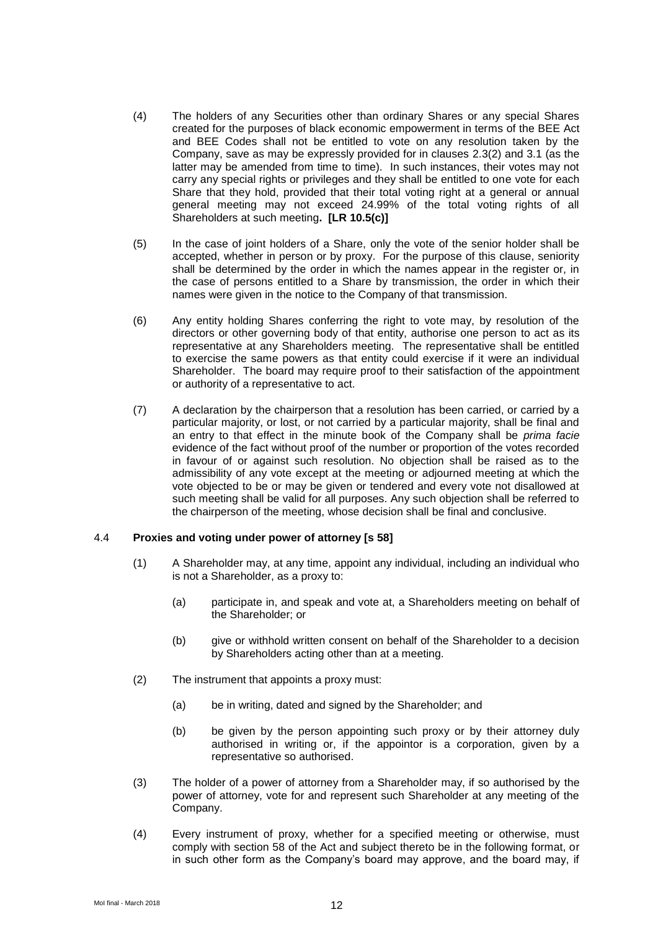- <span id="page-13-0"></span>(4) The holders of any Securities other than ordinary Shares or any special Shares created for the purposes of black economic empowerment in terms of the BEE Act and BEE Codes shall not be entitled to vote on any resolution taken by the Company, save as may be expressly provided for in clauses [2.3\(2\)](#page-4-3) and [3.1](#page-7-0) (as the latter may be amended from time to time). In such instances, their votes may not carry any special rights or privileges and they shall be entitled to one vote for each Share that they hold, provided that their total voting right at a general or annual general meeting may not exceed 24.99% of the total voting rights of all Shareholders at such meeting**. [LR 10.5(c)]**
- (5) In the case of joint holders of a Share, only the vote of the senior holder shall be accepted, whether in person or by proxy. For the purpose of this clause, seniority shall be determined by the order in which the names appear in the register or, in the case of persons entitled to a Share by transmission, the order in which their names were given in the notice to the Company of that transmission.
- (6) Any entity holding Shares conferring the right to vote may, by resolution of the directors or other governing body of that entity, authorise one person to act as its representative at any Shareholders meeting. The representative shall be entitled to exercise the same powers as that entity could exercise if it were an individual Shareholder. The board may require proof to their satisfaction of the appointment or authority of a representative to act.
- (7) A declaration by the chairperson that a resolution has been carried, or carried by a particular majority, or lost, or not carried by a particular majority, shall be final and an entry to that effect in the minute book of the Company shall be *prima facie* evidence of the fact without proof of the number or proportion of the votes recorded in favour of or against such resolution. No objection shall be raised as to the admissibility of any vote except at the meeting or adjourned meeting at which the vote objected to be or may be given or tendered and every vote not disallowed at such meeting shall be valid for all purposes. Any such objection shall be referred to the chairperson of the meeting, whose decision shall be final and conclusive.

#### 4.4 **Proxies and voting under power of attorney [s 58]**

- (1) A Shareholder may, at any time, appoint any individual, including an individual who is not a Shareholder, as a proxy to:
	- (a) participate in, and speak and vote at, a Shareholders meeting on behalf of the Shareholder; or
	- (b) give or withhold written consent on behalf of the Shareholder to a decision by Shareholders acting other than at a meeting.
- (2) The instrument that appoints a proxy must:
	- (a) be in writing, dated and signed by the Shareholder; and
	- (b) be given by the person appointing such proxy or by their attorney duly authorised in writing or, if the appointor is a corporation, given by a representative so authorised.
- (3) The holder of a power of attorney from a Shareholder may, if so authorised by the power of attorney, vote for and represent such Shareholder at any meeting of the Company.
- (4) Every instrument of proxy, whether for a specified meeting or otherwise, must comply with section 58 of the Act and subject thereto be in the following format, or in such other form as the Company's board may approve, and the board may, if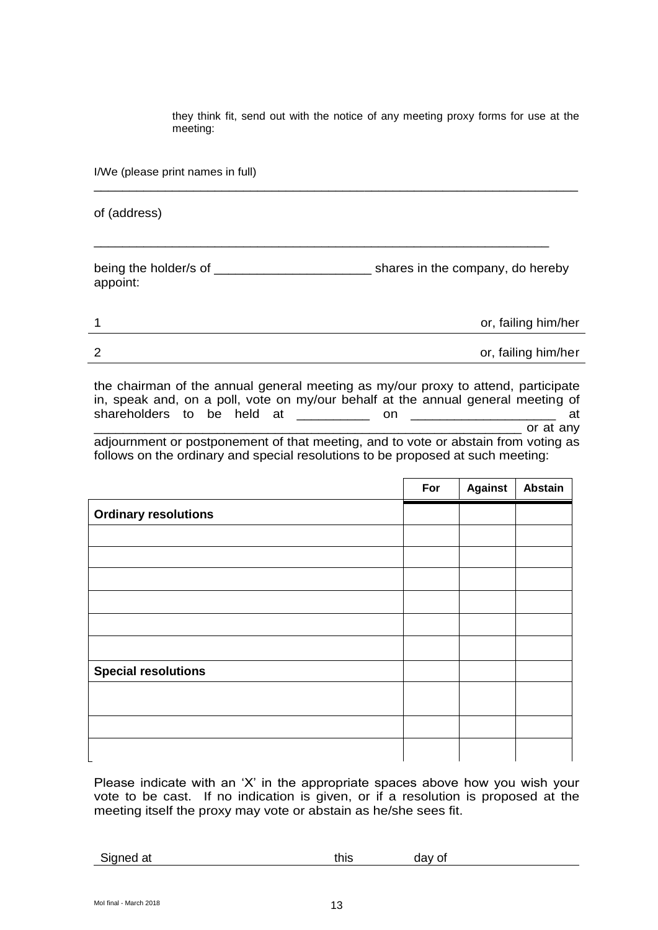they think fit, send out with the notice of any meeting proxy forms for use at the meeting:

I/We (please print names in full)

of (address)

being the holder/s of the shares in the company, do hereby appoint:

\_\_\_\_\_\_\_\_\_\_\_\_\_\_\_\_\_\_\_\_\_\_\_\_\_\_\_\_\_\_\_\_\_\_\_\_\_\_\_\_\_\_\_\_\_\_\_\_\_\_\_\_\_\_\_\_\_\_\_\_\_\_\_\_

\_\_\_\_\_\_\_\_\_\_\_\_\_\_\_\_\_\_\_\_\_\_\_\_\_\_\_\_\_\_\_\_\_\_\_\_\_\_\_\_\_\_\_\_\_\_\_\_\_\_\_\_\_\_\_\_\_\_\_\_\_\_\_\_\_\_\_\_

|   | or, failing him/her |
|---|---------------------|
| ົ | or, failing him/her |

the chairman of the annual general meeting as my/our proxy to attend, participate in, speak and, on a poll, vote on my/our behalf at the annual general meeting of shareholders to be held at \_\_\_\_\_\_\_\_\_\_ on \_\_\_\_\_\_\_\_\_\_\_\_\_\_\_\_\_\_\_\_ at \_\_\_\_\_\_\_\_\_\_\_\_\_\_\_\_\_\_\_\_\_\_\_\_\_\_\_\_\_\_\_\_\_\_\_\_\_\_\_\_\_\_\_\_\_\_\_\_\_\_\_\_\_\_\_\_\_\_\_ or at any adjournment or postponement of that meeting, and to vote or abstain from voting as follows on the ordinary and special resolutions to be proposed at such meeting:

|                             | For | <b>Against</b> | Abstain |
|-----------------------------|-----|----------------|---------|
| <b>Ordinary resolutions</b> |     |                |         |
|                             |     |                |         |
|                             |     |                |         |
|                             |     |                |         |
|                             |     |                |         |
|                             |     |                |         |
|                             |     |                |         |
| <b>Special resolutions</b>  |     |                |         |
|                             |     |                |         |
|                             |     |                |         |
|                             |     |                |         |

Please indicate with an 'X' in the appropriate spaces above how you wish your vote to be cast. If no indication is given, or if a resolution is proposed at the meeting itself the proxy may vote or abstain as he/she sees fit.

Signed at this day of the state of the state of the state of the state of the state of the state of the state o

Mol final - March 2018  $13$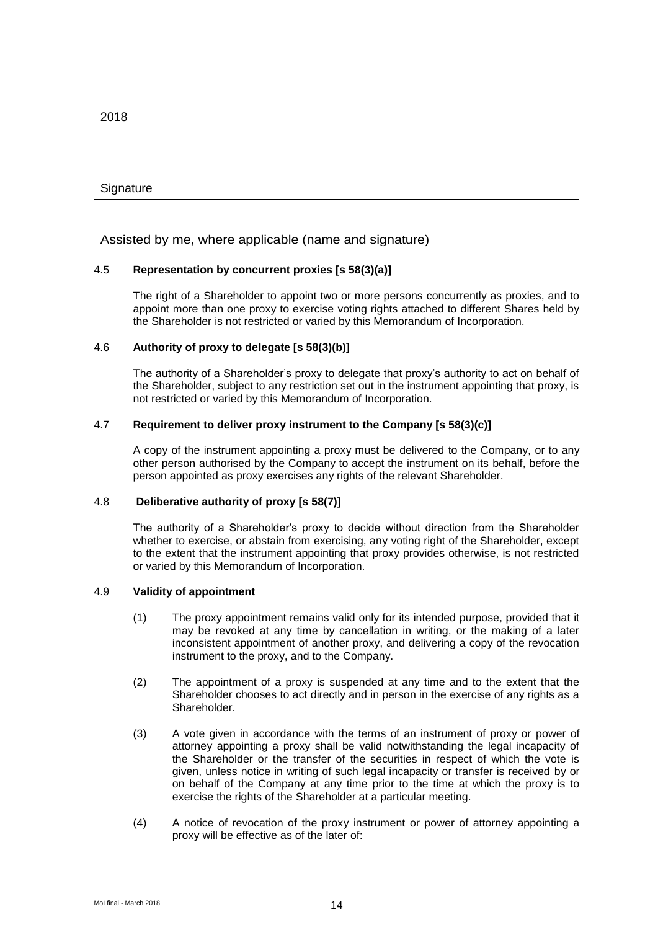#### **Signature**

Assisted by me, where applicable (name and signature)

#### 4.5 **Representation by concurrent proxies [s 58(3)(a)]**

The right of a Shareholder to appoint two or more persons concurrently as proxies, and to appoint more than one proxy to exercise voting rights attached to different Shares held by the Shareholder is not restricted or varied by this Memorandum of Incorporation.

#### 4.6 **Authority of proxy to delegate [s 58(3)(b)]**

The authority of a Shareholder's proxy to delegate that proxy's authority to act on behalf of the Shareholder, subject to any restriction set out in the instrument appointing that proxy, is not restricted or varied by this Memorandum of Incorporation.

#### 4.7 **Requirement to deliver proxy instrument to the Company [s 58(3)(c)]**

A copy of the instrument appointing a proxy must be delivered to the Company, or to any other person authorised by the Company to accept the instrument on its behalf, before the person appointed as proxy exercises any rights of the relevant Shareholder.

#### 4.8 **Deliberative authority of proxy [s 58(7)]**

The authority of a Shareholder's proxy to decide without direction from the Shareholder whether to exercise, or abstain from exercising, any voting right of the Shareholder, except to the extent that the instrument appointing that proxy provides otherwise, is not restricted or varied by this Memorandum of Incorporation.

#### 4.9 **Validity of appointment**

- (1) The proxy appointment remains valid only for its intended purpose, provided that it may be revoked at any time by cancellation in writing, or the making of a later inconsistent appointment of another proxy, and delivering a copy of the revocation instrument to the proxy, and to the Company.
- (2) The appointment of a proxy is suspended at any time and to the extent that the Shareholder chooses to act directly and in person in the exercise of any rights as a Shareholder.
- (3) A vote given in accordance with the terms of an instrument of proxy or power of attorney appointing a proxy shall be valid notwithstanding the legal incapacity of the Shareholder or the transfer of the securities in respect of which the vote is given, unless notice in writing of such legal incapacity or transfer is received by or on behalf of the Company at any time prior to the time at which the proxy is to exercise the rights of the Shareholder at a particular meeting.
- (4) A notice of revocation of the proxy instrument or power of attorney appointing a proxy will be effective as of the later of: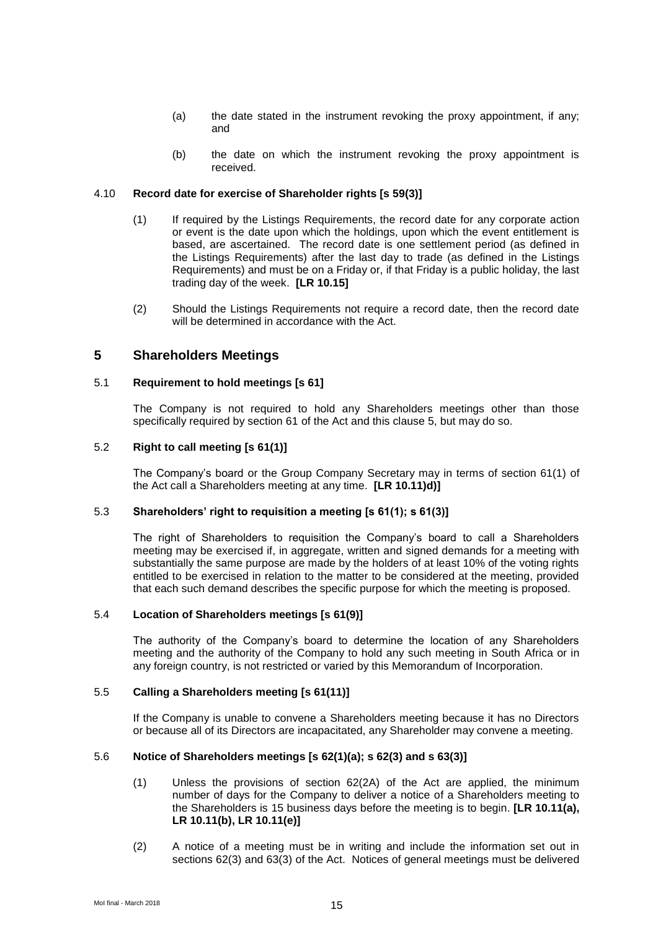- (a) the date stated in the instrument revoking the proxy appointment, if any; and
- (b) the date on which the instrument revoking the proxy appointment is received.

#### <span id="page-16-1"></span>4.10 **Record date for exercise of Shareholder rights [s 59(3)]**

- (1) If required by the Listings Requirements, the record date for any corporate action or event is the date upon which the holdings, upon which the event entitlement is based, are ascertained. The record date is one settlement period (as defined in the Listings Requirements) after the last day to trade (as defined in the Listings Requirements) and must be on a Friday or, if that Friday is a public holiday, the last trading day of the week. **[LR 10.15]**
- (2) Should the Listings Requirements not require a record date, then the record date will be determined in accordance with the Act.

#### <span id="page-16-0"></span>**5 Shareholders Meetings**

#### 5.1 **Requirement to hold meetings [s 61]**

The Company is not required to hold any Shareholders meetings other than those specifically required by section 61 of the Act and this clause [5,](#page-16-0) but may do so.

#### 5.2 **Right to call meeting [s 61(1)]**

The Company's board or the Group Company Secretary may in terms of section 61(1) of the Act call a Shareholders meeting at any time. **[LR 10.11)d)]**

#### 5.3 **Shareholders' right to requisition a meeting [s 61(1); s 61(3)]**

The right of Shareholders to requisition the Company's board to call a Shareholders meeting may be exercised if, in aggregate, written and signed demands for a meeting with substantially the same purpose are made by the holders of at least 10% of the voting rights entitled to be exercised in relation to the matter to be considered at the meeting, provided that each such demand describes the specific purpose for which the meeting is proposed.

#### 5.4 **Location of Shareholders meetings [s 61(9)]**

The authority of the Company's board to determine the location of any Shareholders meeting and the authority of the Company to hold any such meeting in South Africa or in any foreign country, is not restricted or varied by this Memorandum of Incorporation.

#### 5.5 **Calling a Shareholders meeting [s 61(11)]**

If the Company is unable to convene a Shareholders meeting because it has no Directors or because all of its Directors are incapacitated, any Shareholder may convene a meeting.

#### <span id="page-16-2"></span>5.6 **Notice of Shareholders meetings [s 62(1)(a); s 62(3) and s 63(3)]**

- (1) Unless the provisions of section 62(2A) of the Act are applied, the minimum number of days for the Company to deliver a notice of a Shareholders meeting to the Shareholders is 15 business days before the meeting is to begin. **[LR 10.11(a), LR 10.11(b), LR 10.11(e)]**
- (2) A notice of a meeting must be in writing and include the information set out in sections 62(3) and 63(3) of the Act. Notices of general meetings must be delivered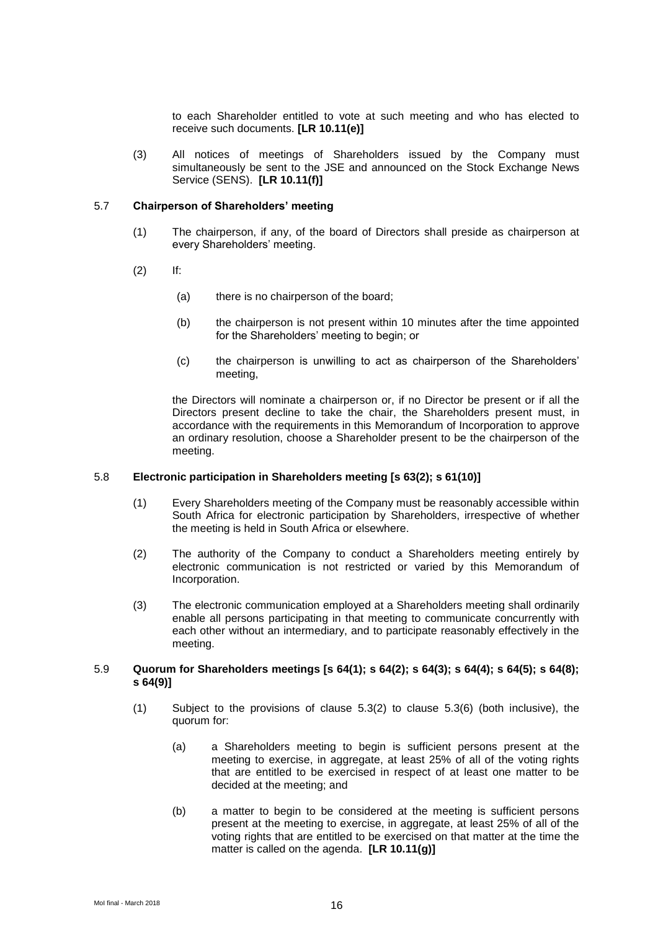to each Shareholder entitled to vote at such meeting and who has elected to receive such documents. **[LR 10.11(e)]**

(3) All notices of meetings of Shareholders issued by the Company must simultaneously be sent to the JSE and announced on the Stock Exchange News Service (SENS). **[LR 10.11(f)]**

#### 5.7 **Chairperson of Shareholders' meeting**

- (1) The chairperson, if any, of the board of Directors shall preside as chairperson at every Shareholders' meeting.
- (2) If:
	- (a) there is no chairperson of the board;
	- (b) the chairperson is not present within 10 minutes after the time appointed for the Shareholders' meeting to begin; or
	- (c) the chairperson is unwilling to act as chairperson of the Shareholders' meeting,

the Directors will nominate a chairperson or, if no Director be present or if all the Directors present decline to take the chair, the Shareholders present must, in accordance with the requirements in this Memorandum of Incorporation to approve an ordinary resolution, choose a Shareholder present to be the chairperson of the meeting.

#### 5.8 **Electronic participation in Shareholders meeting [s 63(2); s 61(10)]**

- (1) Every Shareholders meeting of the Company must be reasonably accessible within South Africa for electronic participation by Shareholders, irrespective of whether the meeting is held in South Africa or elsewhere.
- (2) The authority of the Company to conduct a Shareholders meeting entirely by electronic communication is not restricted or varied by this Memorandum of Incorporation.
- (3) The electronic communication employed at a Shareholders meeting shall ordinarily enable all persons participating in that meeting to communicate concurrently with each other without an intermediary, and to participate reasonably effectively in the meeting.

#### <span id="page-17-0"></span>5.9 **Quorum for Shareholders meetings [s 64(1); s 64(2); s 64(3); s 64(4); s 64(5); s 64(8); s 64(9)]**

- (1) Subject to the provisions of clause 5.3(2) to clause 5.3(6) (both inclusive), the quorum for:
	- (a) a Shareholders meeting to begin is sufficient persons present at the meeting to exercise, in aggregate, at least 25% of all of the voting rights that are entitled to be exercised in respect of at least one matter to be decided at the meeting; and
	- (b) a matter to begin to be considered at the meeting is sufficient persons present at the meeting to exercise, in aggregate, at least 25% of all of the voting rights that are entitled to be exercised on that matter at the time the matter is called on the agenda. **[LR 10.11(g)]**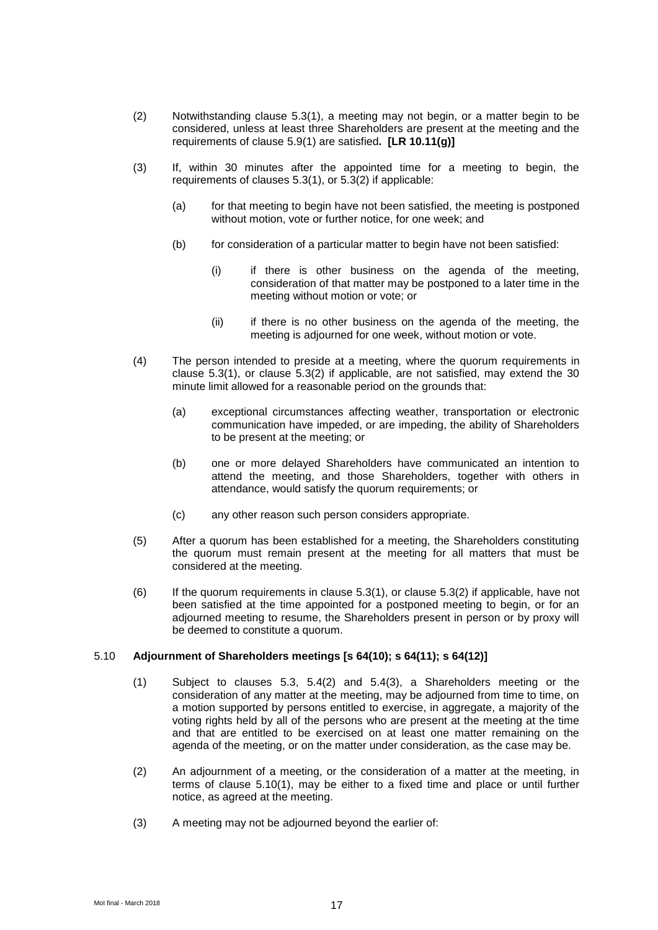- (2) Notwithstanding clause 5.3(1), a meeting may not begin, or a matter begin to be considered, unless at least three Shareholders are present at the meeting and the requirements of clause [5.9\(1\)](#page-17-0) are satisfied**. [LR 10.11(g)]**
- (3) If, within 30 minutes after the appointed time for a meeting to begin, the requirements of clauses 5.3(1), or 5.3(2) if applicable:
	- (a) for that meeting to begin have not been satisfied, the meeting is postponed without motion, vote or further notice, for one week; and
	- (b) for consideration of a particular matter to begin have not been satisfied:
		- (i) if there is other business on the agenda of the meeting, consideration of that matter may be postponed to a later time in the meeting without motion or vote; or
		- (ii) if there is no other business on the agenda of the meeting, the meeting is adjourned for one week, without motion or vote.
- (4) The person intended to preside at a meeting, where the quorum requirements in clause 5.3(1), or clause 5.3(2) if applicable, are not satisfied, may extend the 30 minute limit allowed for a reasonable period on the grounds that:
	- (a) exceptional circumstances affecting weather, transportation or electronic communication have impeded, or are impeding, the ability of Shareholders to be present at the meeting; or
	- (b) one or more delayed Shareholders have communicated an intention to attend the meeting, and those Shareholders, together with others in attendance, would satisfy the quorum requirements; or
	- (c) any other reason such person considers appropriate.
- (5) After a quorum has been established for a meeting, the Shareholders constituting the quorum must remain present at the meeting for all matters that must be considered at the meeting.
- $(6)$  If the quorum requirements in clause 5.3(1), or clause 5.3(2) if applicable, have not been satisfied at the time appointed for a postponed meeting to begin, or for an adjourned meeting to resume, the Shareholders present in person or by proxy will be deemed to constitute a quorum.

#### <span id="page-18-0"></span>5.10 **Adjournment of Shareholders meetings [s 64(10); s 64(11); s 64(12)]**

- (1) Subject to clauses 5.3, 5.4(2) and 5.4(3), a Shareholders meeting or the consideration of any matter at the meeting, may be adjourned from time to time, on a motion supported by persons entitled to exercise, in aggregate, a majority of the voting rights held by all of the persons who are present at the meeting at the time and that are entitled to be exercised on at least one matter remaining on the agenda of the meeting, or on the matter under consideration, as the case may be.
- (2) An adjournment of a meeting, or the consideration of a matter at the meeting, in terms of clause [5.10\(1\),](#page-18-0) may be either to a fixed time and place or until further notice, as agreed at the meeting.
- (3) A meeting may not be adjourned beyond the earlier of: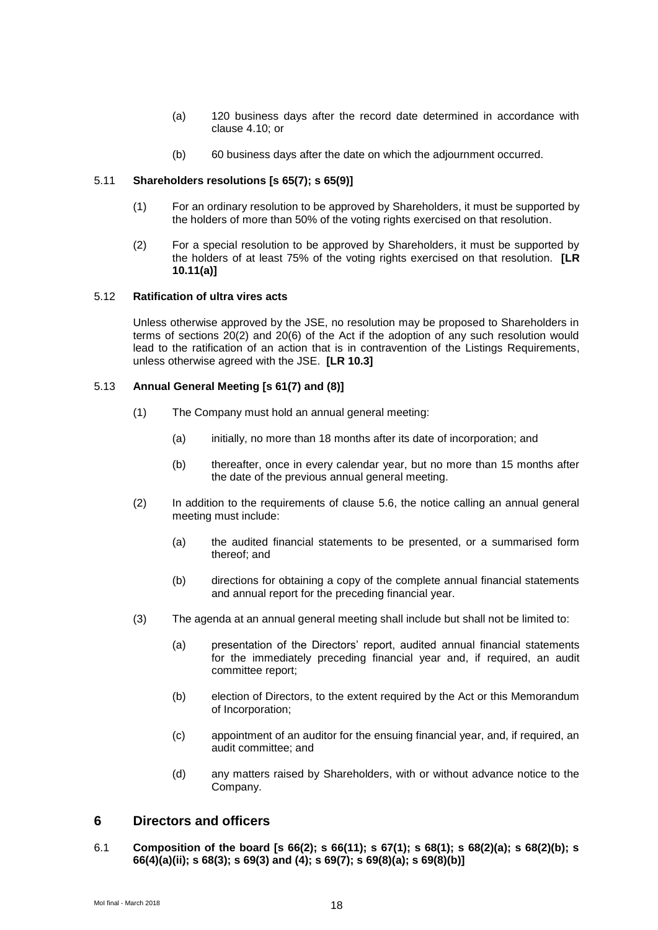- (a) 120 business days after the record date determined in accordance with clause [4.10;](#page-16-1) or
- (b) 60 business days after the date on which the adjournment occurred.

### 5.11 **Shareholders resolutions [s 65(7); s 65(9)]**

- (1) For an ordinary resolution to be approved by Shareholders, it must be supported by the holders of more than 50% of the voting rights exercised on that resolution.
- (2) For a special resolution to be approved by Shareholders, it must be supported by the holders of at least 75% of the voting rights exercised on that resolution. **[LR 10.11(a)]**

#### 5.12 **Ratification of ultra vires acts**

Unless otherwise approved by the JSE, no resolution may be proposed to Shareholders in terms of sections 20(2) and 20(6) of the Act if the adoption of any such resolution would lead to the ratification of an action that is in contravention of the Listings Requirements, unless otherwise agreed with the JSE. **[LR 10.3]**

#### 5.13 **Annual General Meeting [s 61(7) and (8)]**

- (1) The Company must hold an annual general meeting:
	- (a) initially, no more than 18 months after its date of incorporation; and
	- (b) thereafter, once in every calendar year, but no more than 15 months after the date of the previous annual general meeting.
- (2) In addition to the requirements of clause [5.6,](#page-16-2) the notice calling an annual general meeting must include:
	- (a) the audited financial statements to be presented, or a summarised form thereof; and
	- (b) directions for obtaining a copy of the complete annual financial statements and annual report for the preceding financial year.
- (3) The agenda at an annual general meeting shall include but shall not be limited to:
	- (a) presentation of the Directors' report, audited annual financial statements for the immediately preceding financial year and, if required, an audit committee report;
	- (b) election of Directors, to the extent required by the Act or this Memorandum of Incorporation;
	- (c) appointment of an auditor for the ensuing financial year, and, if required, an audit committee; and
	- (d) any matters raised by Shareholders, with or without advance notice to the Company.

# **6 Directors and officers**

6.1 **Composition of the board [s 66(2); s 66(11); s 67(1); s 68(1); s 68(2)(a); s 68(2)(b); s 66(4)(a)(ii); s 68(3); s 69(3) and (4); s 69(7); s 69(8)(a); s 69(8)(b)]**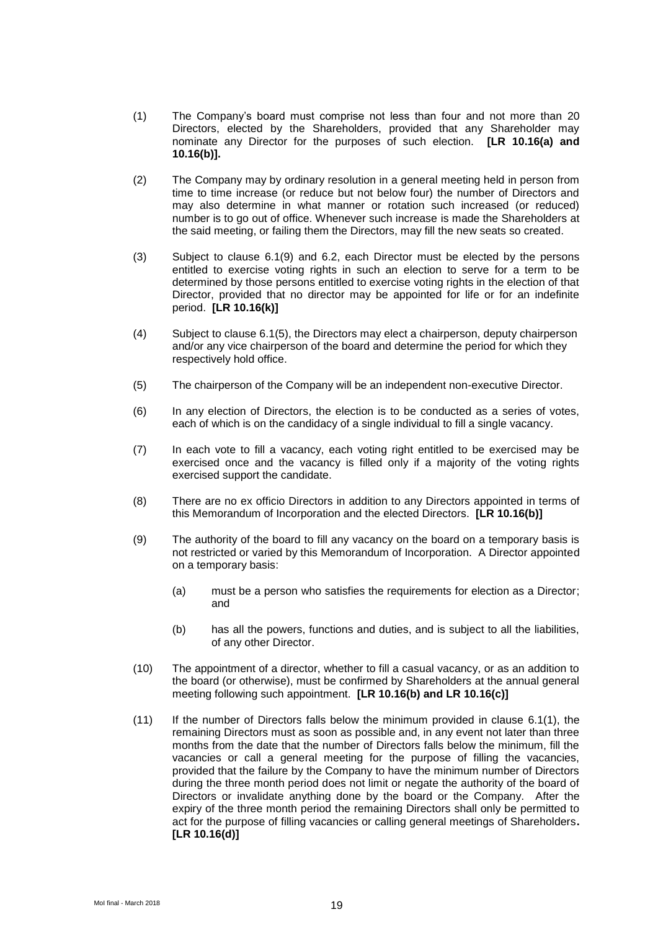- <span id="page-20-2"></span>(1) The Company's board must comprise not less than four and not more than 20 Directors, elected by the Shareholders, provided that any Shareholder may nominate any Director for the purposes of such election. **[LR 10.16(a) and 10.16(b)].**
- (2) The Company may by ordinary resolution in a general meeting held in person from time to time increase (or reduce but not below four) the number of Directors and may also determine in what manner or rotation such increased (or reduced) number is to go out of office. Whenever such increase is made the Shareholders at the said meeting, or failing them the Directors, may fill the new seats so created.
- (3) Subject to clause [6.1\(9\)](#page-20-0) and [6.2,](#page-21-0) each Director must be elected by the persons entitled to exercise voting rights in such an election to serve for a term to be determined by those persons entitled to exercise voting rights in the election of that Director, provided that no director may be appointed for life or for an indefinite period. **[LR 10.16(k)]**
- (4) Subject to clause [6.1\(5\),](#page-20-1) the Directors may elect a chairperson, deputy chairperson and/or any vice chairperson of the board and determine the period for which they respectively hold office.
- <span id="page-20-1"></span>(5) The chairperson of the Company will be an independent non-executive Director.
- (6) In any election of Directors, the election is to be conducted as a series of votes, each of which is on the candidacy of a single individual to fill a single vacancy.
- (7) In each vote to fill a vacancy, each voting right entitled to be exercised may be exercised once and the vacancy is filled only if a majority of the voting rights exercised support the candidate.
- (8) There are no ex officio Directors in addition to any Directors appointed in terms of this Memorandum of Incorporation and the elected Directors. **[LR 10.16(b)]**
- <span id="page-20-0"></span>(9) The authority of the board to fill any vacancy on the board on a temporary basis is not restricted or varied by this Memorandum of Incorporation. A Director appointed on a temporary basis:
	- (a) must be a person who satisfies the requirements for election as a Director; and
	- (b) has all the powers, functions and duties, and is subject to all the liabilities, of any other Director.
- (10) The appointment of a director, whether to fill a casual vacancy, or as an addition to the board (or otherwise), must be confirmed by Shareholders at the annual general meeting following such appointment. **[LR 10.16(b) and LR 10.16(c)]**
- (11) If the number of Directors falls below the minimum provided in clause [6.1\(1\),](#page-20-2) the remaining Directors must as soon as possible and, in any event not later than three months from the date that the number of Directors falls below the minimum, fill the vacancies or call a general meeting for the purpose of filling the vacancies, provided that the failure by the Company to have the minimum number of Directors during the three month period does not limit or negate the authority of the board of Directors or invalidate anything done by the board or the Company. After the expiry of the three month period the remaining Directors shall only be permitted to act for the purpose of filling vacancies or calling general meetings of Shareholders**. [LR 10.16(d)]**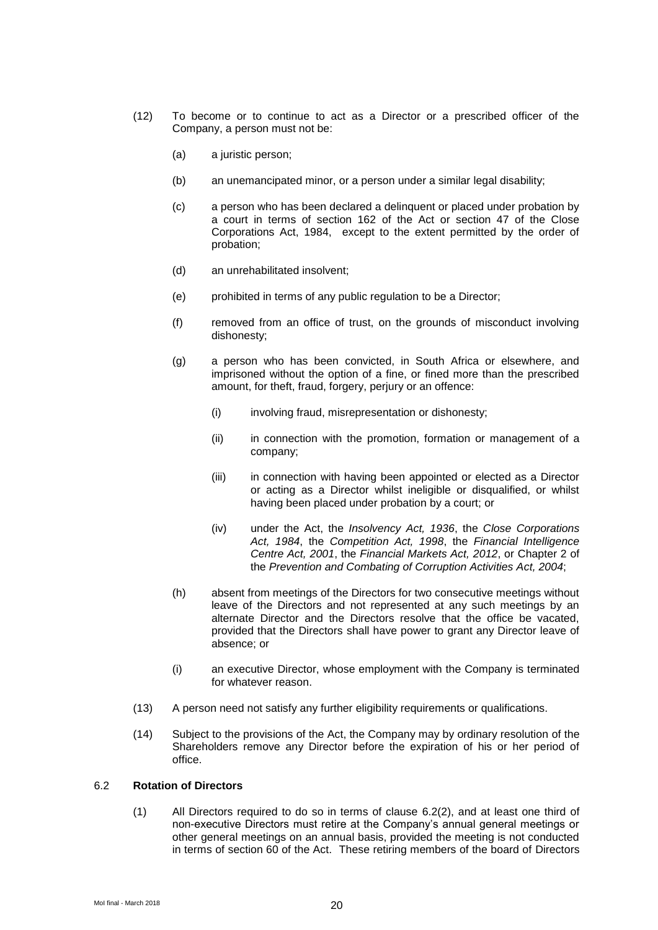- <span id="page-21-1"></span>(12) To become or to continue to act as a Director or a prescribed officer of the Company, a person must not be:
	- (a) a juristic person;
	- (b) an unemancipated minor, or a person under a similar legal disability;
	- (c) a person who has been declared a delinquent or placed under probation by a court in terms of section 162 of the Act or section 47 of the Close Corporations Act, 1984, except to the extent permitted by the order of probation;
	- (d) an unrehabilitated insolvent;
	- (e) prohibited in terms of any public regulation to be a Director;
	- (f) removed from an office of trust, on the grounds of misconduct involving dishonesty;
	- (g) a person who has been convicted, in South Africa or elsewhere, and imprisoned without the option of a fine, or fined more than the prescribed amount, for theft, fraud, forgery, perjury or an offence:
		- (i) involving fraud, misrepresentation or dishonesty;
		- (ii) in connection with the promotion, formation or management of a company;
		- (iii) in connection with having been appointed or elected as a Director or acting as a Director whilst ineligible or disqualified, or whilst having been placed under probation by a court; or
		- (iv) under the Act, the *Insolvency Act, 1936*, the *Close Corporations Act, 1984*, the *Competition Act, 1998*, the *Financial Intelligence Centre Act, 2001*, the *Financial Markets Act, 2012*, or Chapter 2 of the *Prevention and Combating of Corruption Activities Act, 2004*;
	- (h) absent from meetings of the Directors for two consecutive meetings without leave of the Directors and not represented at any such meetings by an alternate Director and the Directors resolve that the office be vacated, provided that the Directors shall have power to grant any Director leave of absence; or
	- (i) an executive Director, whose employment with the Company is terminated for whatever reason.
- (13) A person need not satisfy any further eligibility requirements or qualifications.
- (14) Subject to the provisions of the Act, the Company may by ordinary resolution of the Shareholders remove any Director before the expiration of his or her period of office.

#### <span id="page-21-0"></span>6.2 **Rotation of Directors**

(1) All Directors required to do so in terms of clause [6.2\(2\),](#page-22-0) and at least one third of non-executive Directors must retire at the Company's annual general meetings or other general meetings on an annual basis, provided the meeting is not conducted in terms of section 60 of the Act. These retiring members of the board of Directors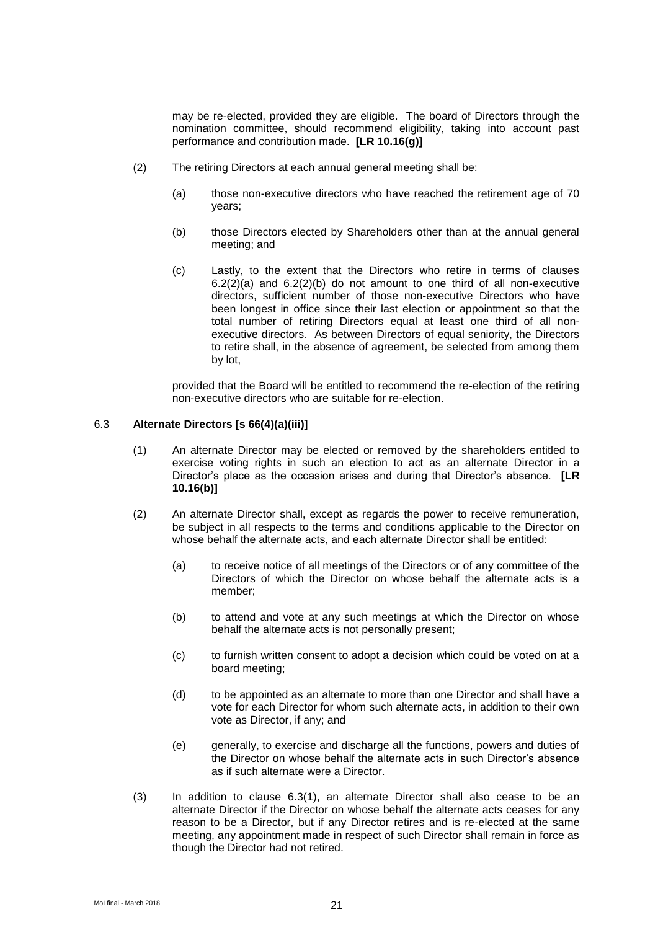may be re-elected, provided they are eligible. The board of Directors through the nomination committee, should recommend eligibility, taking into account past performance and contribution made. **[LR 10.16(g)]**

- <span id="page-22-2"></span><span id="page-22-1"></span><span id="page-22-0"></span>(2) The retiring Directors at each annual general meeting shall be:
	- (a) those non-executive directors who have reached the retirement age of 70 years;
	- (b) those Directors elected by Shareholders other than at the annual general meeting; and
	- (c) Lastly, to the extent that the Directors who retire in terms of clauses  $6.2(2)(a)$  and  $6.2(2)(b)$  do not amount to one third of all non-executive directors, sufficient number of those non-executive Directors who have been longest in office since their last election or appointment so that the total number of retiring Directors equal at least one third of all nonexecutive directors. As between Directors of equal seniority, the Directors to retire shall, in the absence of agreement, be selected from among them by lot,

provided that the Board will be entitled to recommend the re-election of the retiring non-executive directors who are suitable for re-election.

# <span id="page-22-3"></span>6.3 **Alternate Directors [s 66(4)(a)(iii)]**

- (1) An alternate Director may be elected or removed by the shareholders entitled to exercise voting rights in such an election to act as an alternate Director in a Director's place as the occasion arises and during that Director's absence. **[LR 10.16(b)]**
- (2) An alternate Director shall, except as regards the power to receive remuneration, be subject in all respects to the terms and conditions applicable to the Director on whose behalf the alternate acts, and each alternate Director shall be entitled:
	- (a) to receive notice of all meetings of the Directors or of any committee of the Directors of which the Director on whose behalf the alternate acts is a member;
	- (b) to attend and vote at any such meetings at which the Director on whose behalf the alternate acts is not personally present;
	- (c) to furnish written consent to adopt a decision which could be voted on at a board meeting;
	- (d) to be appointed as an alternate to more than one Director and shall have a vote for each Director for whom such alternate acts, in addition to their own vote as Director, if any; and
	- (e) generally, to exercise and discharge all the functions, powers and duties of the Director on whose behalf the alternate acts in such Director's absence as if such alternate were a Director.
- (3) In addition to clause [6.3\(1\),](#page-22-3) an alternate Director shall also cease to be an alternate Director if the Director on whose behalf the alternate acts ceases for any reason to be a Director, but if any Director retires and is re-elected at the same meeting, any appointment made in respect of such Director shall remain in force as though the Director had not retired.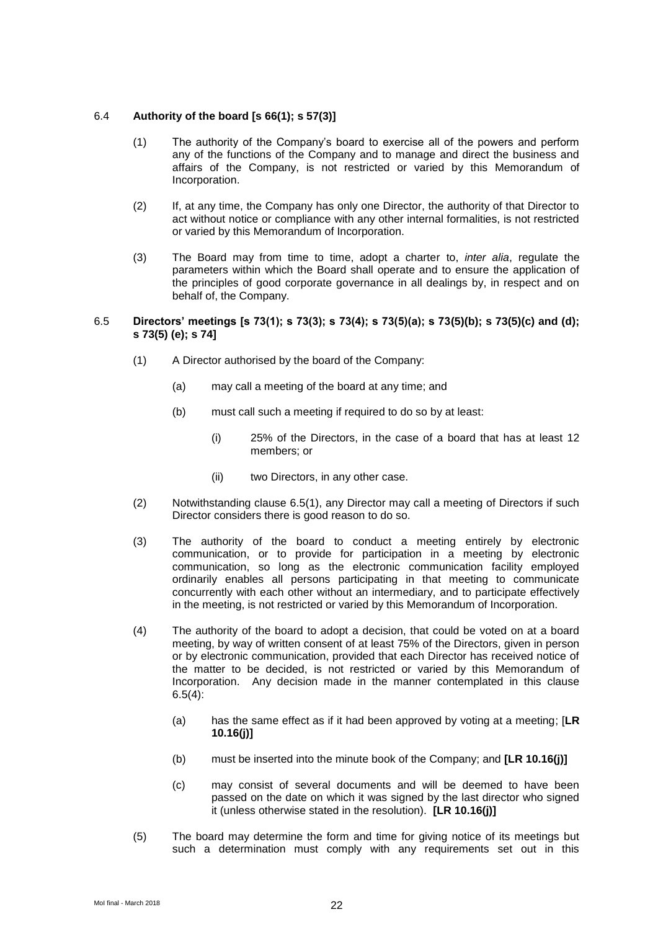#### 6.4 **Authority of the board [s 66(1); s 57(3)]**

- (1) The authority of the Company's board to exercise all of the powers and perform any of the functions of the Company and to manage and direct the business and affairs of the Company, is not restricted or varied by this Memorandum of Incorporation.
- (2) If, at any time, the Company has only one Director, the authority of that Director to act without notice or compliance with any other internal formalities, is not restricted or varied by this Memorandum of Incorporation.
- (3) The Board may from time to time, adopt a charter to, *inter alia*, regulate the parameters within which the Board shall operate and to ensure the application of the principles of good corporate governance in all dealings by, in respect and on behalf of, the Company.

#### <span id="page-23-0"></span>6.5 **Directors' meetings [s 73(1); s 73(3); s 73(4); s 73(5)(a); s 73(5)(b); s 73(5)(c) and (d); s 73(5) (e); s 74]**

- (1) A Director authorised by the board of the Company:
	- (a) may call a meeting of the board at any time; and
	- (b) must call such a meeting if required to do so by at least:
		- (i) 25% of the Directors, in the case of a board that has at least 12 members; or
		- (ii) two Directors, in any other case.
- (2) Notwithstanding clause [6.5\(1\),](#page-23-0) any Director may call a meeting of Directors if such Director considers there is good reason to do so.
- (3) The authority of the board to conduct a meeting entirely by electronic communication, or to provide for participation in a meeting by electronic communication, so long as the electronic communication facility employed ordinarily enables all persons participating in that meeting to communicate concurrently with each other without an intermediary, and to participate effectively in the meeting, is not restricted or varied by this Memorandum of Incorporation.
- <span id="page-23-1"></span>(4) The authority of the board to adopt a decision, that could be voted on at a board meeting, by way of written consent of at least 75% of the Directors, given in person or by electronic communication, provided that each Director has received notice of the matter to be decided, is not restricted or varied by this Memorandum of Incorporation. Any decision made in the manner contemplated in this clause  $6.5(4)$ :
	- (a) has the same effect as if it had been approved by voting at a meeting; [**LR 10.16(j)]**
	- (b) must be inserted into the minute book of the Company; and **[LR 10.16(j)]**
	- (c) may consist of several documents and will be deemed to have been passed on the date on which it was signed by the last director who signed it (unless otherwise stated in the resolution). **[LR 10.16(j)]**
- (5) The board may determine the form and time for giving notice of its meetings but such a determination must comply with any requirements set out in this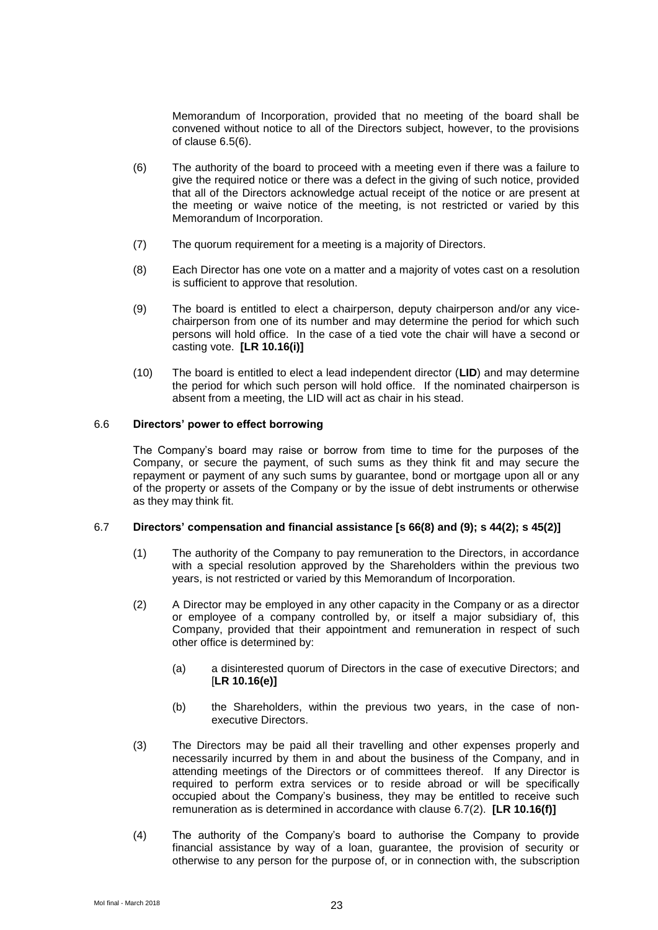Memorandum of Incorporation, provided that no meeting of the board shall be convened without notice to all of the Directors subject, however, to the provisions of clause [6.5\(6\).](#page-24-0)

- <span id="page-24-0"></span>(6) The authority of the board to proceed with a meeting even if there was a failure to give the required notice or there was a defect in the giving of such notice, provided that all of the Directors acknowledge actual receipt of the notice or are present at the meeting or waive notice of the meeting, is not restricted or varied by this Memorandum of Incorporation.
- (7) The quorum requirement for a meeting is a majority of Directors.
- (8) Each Director has one vote on a matter and a majority of votes cast on a resolution is sufficient to approve that resolution.
- (9) The board is entitled to elect a chairperson, deputy chairperson and/or any vicechairperson from one of its number and may determine the period for which such persons will hold office. In the case of a tied vote the chair will have a second or casting vote. **[LR 10.16(i)]**
- (10) The board is entitled to elect a lead independent director (**LID**) and may determine the period for which such person will hold office. If the nominated chairperson is absent from a meeting, the LID will act as chair in his stead.

# 6.6 **Directors' power to effect borrowing**

The Company's board may raise or borrow from time to time for the purposes of the Company, or secure the payment, of such sums as they think fit and may secure the repayment or payment of any such sums by guarantee, bond or mortgage upon all or any of the property or assets of the Company or by the issue of debt instruments or otherwise as they may think fit.

# 6.7 **Directors' compensation and financial assistance [s 66(8) and (9); s 44(2); s 45(2)]**

- (1) The authority of the Company to pay remuneration to the Directors, in accordance with a special resolution approved by the Shareholders within the previous two years, is not restricted or varied by this Memorandum of Incorporation.
- <span id="page-24-1"></span>(2) A Director may be employed in any other capacity in the Company or as a director or employee of a company controlled by, or itself a major subsidiary of, this Company, provided that their appointment and remuneration in respect of such other office is determined by:
	- (a) a disinterested quorum of Directors in the case of executive Directors; and [**LR 10.16(e)]**
	- (b) the Shareholders, within the previous two years, in the case of nonexecutive Directors.
- (3) The Directors may be paid all their travelling and other expenses properly and necessarily incurred by them in and about the business of the Company, and in attending meetings of the Directors or of committees thereof. If any Director is required to perform extra services or to reside abroad or will be specifically occupied about the Company's business, they may be entitled to receive such remuneration as is determined in accordance with clause [6.7\(2\).](#page-24-1) **[LR 10.16(f)]**
- (4) The authority of the Company's board to authorise the Company to provide financial assistance by way of a loan, guarantee, the provision of security or otherwise to any person for the purpose of, or in connection with, the subscription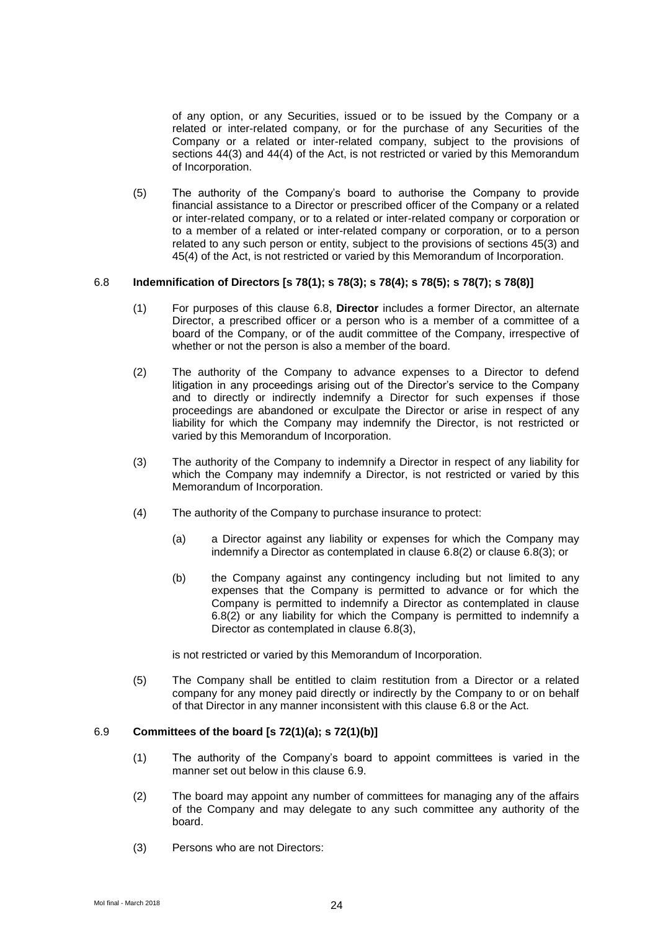of any option, or any Securities, issued or to be issued by the Company or a related or inter-related company, or for the purchase of any Securities of the Company or a related or inter-related company, subject to the provisions of sections 44(3) and 44(4) of the Act, is not restricted or varied by this Memorandum of Incorporation.

(5) The authority of the Company's board to authorise the Company to provide financial assistance to a Director or prescribed officer of the Company or a related or inter-related company, or to a related or inter-related company or corporation or to a member of a related or inter-related company or corporation, or to a person related to any such person or entity, subject to the provisions of sections 45(3) and 45(4) of the Act, is not restricted or varied by this Memorandum of Incorporation.

#### <span id="page-25-0"></span>6.8 **Indemnification of Directors [s 78(1); s 78(3); s 78(4); s 78(5); s 78(7); s 78(8)]**

- (1) For purposes of this clause [6.8,](#page-25-0) **Director** includes a former Director, an alternate Director, a prescribed officer or a person who is a member of a committee of a board of the Company, or of the audit committee of the Company, irrespective of whether or not the person is also a member of the board.
- <span id="page-25-1"></span>(2) The authority of the Company to advance expenses to a Director to defend litigation in any proceedings arising out of the Director's service to the Company and to directly or indirectly indemnify a Director for such expenses if those proceedings are abandoned or exculpate the Director or arise in respect of any liability for which the Company may indemnify the Director, is not restricted or varied by this Memorandum of Incorporation.
- <span id="page-25-2"></span>(3) The authority of the Company to indemnify a Director in respect of any liability for which the Company may indemnify a Director, is not restricted or varied by this Memorandum of Incorporation.
- (4) The authority of the Company to purchase insurance to protect:
	- (a) a Director against any liability or expenses for which the Company may indemnify a Director as contemplated in clause [6.8\(2\)](#page-25-1) or clause [6.8\(3\);](#page-25-2) or
	- (b) the Company against any contingency including but not limited to any expenses that the Company is permitted to advance or for which the Company is permitted to indemnify a Director as contemplated in clause [6.8\(2\)](#page-25-1) or any liability for which the Company is permitted to indemnify a Director as contemplated in clause [6.8\(3\),](#page-25-2)

is not restricted or varied by this Memorandum of Incorporation.

(5) The Company shall be entitled to claim restitution from a Director or a related company for any money paid directly or indirectly by the Company to or on behalf of that Director in any manner inconsistent with this clause [6.8](#page-25-0) or the Act.

#### <span id="page-25-3"></span>6.9 **Committees of the board [s 72(1)(a); s 72(1)(b)]**

- (1) The authority of the Company's board to appoint committees is varied in the manner set out below in this clause 6.9
- (2) The board may appoint any number of committees for managing any of the affairs of the Company and may delegate to any such committee any authority of the board.
- (3) Persons who are not Directors: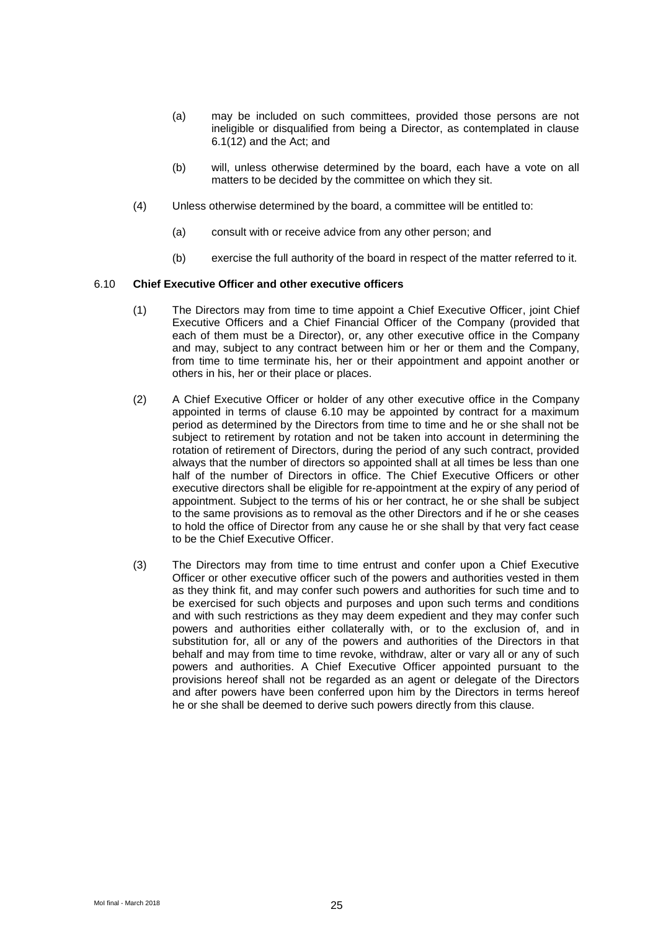- (a) may be included on such committees, provided those persons are not ineligible or disqualified from being a Director, as contemplated in clause  $6.1(12)$  and the Act; and
- (b) will, unless otherwise determined by the board, each have a vote on all matters to be decided by the committee on which they sit.
- (4) Unless otherwise determined by the board, a committee will be entitled to:
	- (a) consult with or receive advice from any other person; and
	- (b) exercise the full authority of the board in respect of the matter referred to it.

#### <span id="page-26-0"></span>6.10 **Chief Executive Officer and other executive officers**

- (1) The Directors may from time to time appoint a Chief Executive Officer, joint Chief Executive Officers and a Chief Financial Officer of the Company (provided that each of them must be a Director), or, any other executive office in the Company and may, subject to any contract between him or her or them and the Company, from time to time terminate his, her or their appointment and appoint another or others in his, her or their place or places.
- (2) A Chief Executive Officer or holder of any other executive office in the Company appointed in terms of clause 6.10 may be appointed by contract for a maximum period as determined by the Directors from time to time and he or she shall not be subject to retirement by rotation and not be taken into account in determining the rotation of retirement of Directors, during the period of any such contract, provided always that the number of directors so appointed shall at all times be less than one half of the number of Directors in office. The Chief Executive Officers or other executive directors shall be eligible for re-appointment at the expiry of any period of appointment. Subject to the terms of his or her contract, he or she shall be subject to the same provisions as to removal as the other Directors and if he or she ceases to hold the office of Director from any cause he or she shall by that very fact cease to be the Chief Executive Officer.
- (3) The Directors may from time to time entrust and confer upon a Chief Executive Officer or other executive officer such of the powers and authorities vested in them as they think fit, and may confer such powers and authorities for such time and to be exercised for such objects and purposes and upon such terms and conditions and with such restrictions as they may deem expedient and they may confer such powers and authorities either collaterally with, or to the exclusion of, and in substitution for, all or any of the powers and authorities of the Directors in that behalf and may from time to time revoke, withdraw, alter or vary all or any of such powers and authorities. A Chief Executive Officer appointed pursuant to the provisions hereof shall not be regarded as an agent or delegate of the Directors and after powers have been conferred upon him by the Directors in terms hereof he or she shall be deemed to derive such powers directly from this clause.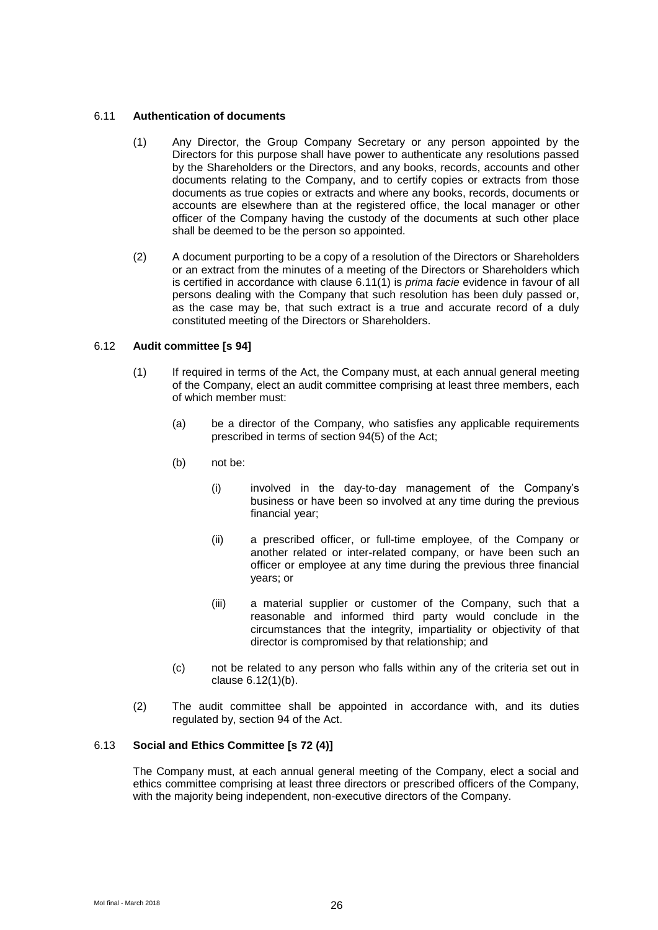#### <span id="page-27-0"></span>6.11 **Authentication of documents**

- (1) Any Director, the Group Company Secretary or any person appointed by the Directors for this purpose shall have power to authenticate any resolutions passed by the Shareholders or the Directors, and any books, records, accounts and other documents relating to the Company, and to certify copies or extracts from those documents as true copies or extracts and where any books, records, documents or accounts are elsewhere than at the registered office, the local manager or other officer of the Company having the custody of the documents at such other place shall be deemed to be the person so appointed.
- (2) A document purporting to be a copy of a resolution of the Directors or Shareholders or an extract from the minutes of a meeting of the Directors or Shareholders which is certified in accordance with clause [6.11\(1\)](#page-27-0) is *prima facie* evidence in favour of all persons dealing with the Company that such resolution has been duly passed or, as the case may be, that such extract is a true and accurate record of a duly constituted meeting of the Directors or Shareholders.

#### 6.12 **Audit committee [s 94]**

- <span id="page-27-1"></span>(1) If required in terms of the Act, the Company must, at each annual general meeting of the Company, elect an audit committee comprising at least three members, each of which member must:
	- (a) be a director of the Company, who satisfies any applicable requirements prescribed in terms of section 94(5) of the Act;
	- (b) not be:
		- (i) involved in the day-to-day management of the Company's business or have been so involved at any time during the previous financial year;
		- (ii) a prescribed officer, or full-time employee, of the Company or another related or inter-related company, or have been such an officer or employee at any time during the previous three financial years; or
		- (iii) a material supplier or customer of the Company, such that a reasonable and informed third party would conclude in the circumstances that the integrity, impartiality or objectivity of that director is compromised by that relationship; and
	- (c) not be related to any person who falls within any of the criteria set out in clause [6.12\(1\)\(b\).](#page-27-1)
- (2) The audit committee shall be appointed in accordance with, and its duties regulated by, section 94 of the Act.

# 6.13 **Social and Ethics Committee [s 72 (4)]**

The Company must, at each annual general meeting of the Company, elect a social and ethics committee comprising at least three directors or prescribed officers of the Company, with the majority being independent, non-executive directors of the Company.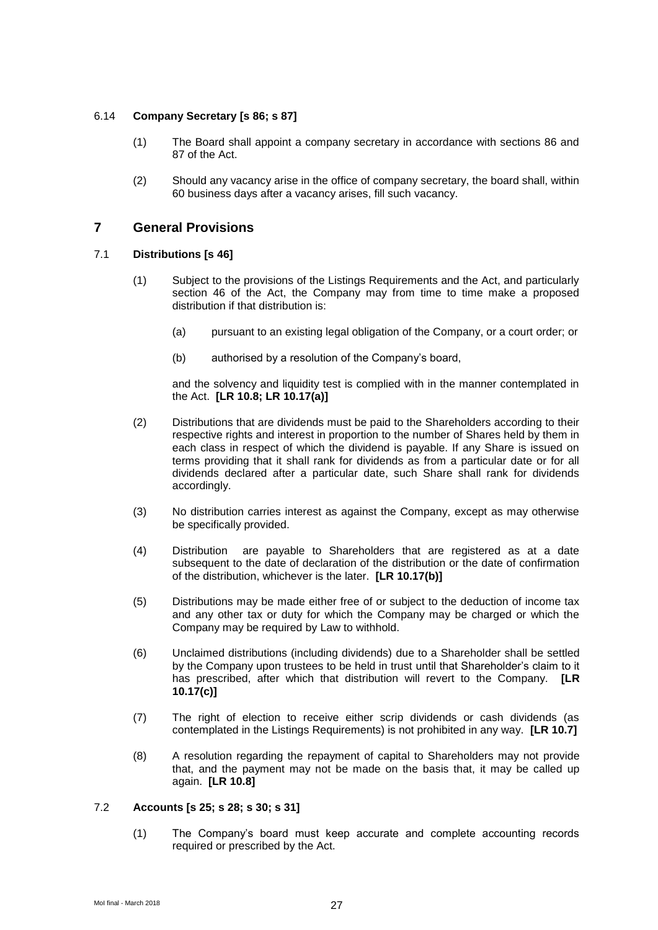# 6.14 **Company Secretary [s 86; s 87]**

- (1) The Board shall appoint a company secretary in accordance with sections 86 and 87 of the Act.
- (2) Should any vacancy arise in the office of company secretary, the board shall, within 60 business days after a vacancy arises, fill such vacancy.

# **7 General Provisions**

#### 7.1 **Distributions [s 46]**

- (1) Subject to the provisions of the Listings Requirements and the Act, and particularly section 46 of the Act, the Company may from time to time make a proposed distribution if that distribution is:
	- (a) pursuant to an existing legal obligation of the Company, or a court order; or
	- (b) authorised by a resolution of the Company's board,

and the solvency and liquidity test is complied with in the manner contemplated in the Act. **[LR 10.8; LR 10.17(a)]**

- (2) Distributions that are dividends must be paid to the Shareholders according to their respective rights and interest in proportion to the number of Shares held by them in each class in respect of which the dividend is payable. If any Share is issued on terms providing that it shall rank for dividends as from a particular date or for all dividends declared after a particular date, such Share shall rank for dividends accordingly.
- (3) No distribution carries interest as against the Company, except as may otherwise be specifically provided.
- (4) Distribution are payable to Shareholders that are registered as at a date subsequent to the date of declaration of the distribution or the date of confirmation of the distribution, whichever is the later. **[LR 10.17(b)]**
- (5) Distributions may be made either free of or subject to the deduction of income tax and any other tax or duty for which the Company may be charged or which the Company may be required by Law to withhold.
- (6) Unclaimed distributions (including dividends) due to a Shareholder shall be settled by the Company upon trustees to be held in trust until that Shareholder's claim to it has prescribed, after which that distribution will revert to the Company. **[LR 10.17(c)]**
- (7) The right of election to receive either scrip dividends or cash dividends (as contemplated in the Listings Requirements) is not prohibited in any way. **[LR 10.7]**
- (8) A resolution regarding the repayment of capital to Shareholders may not provide that, and the payment may not be made on the basis that, it may be called up again. **[LR 10.8]**

#### 7.2 **Accounts [s 25; s 28; s 30; s 31]**

(1) The Company's board must keep accurate and complete accounting records required or prescribed by the Act.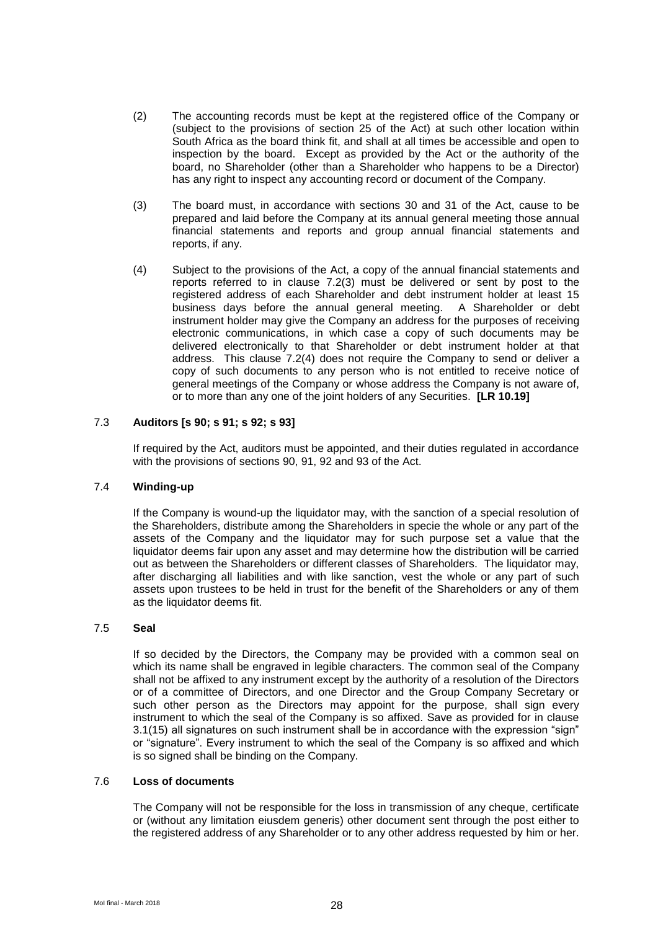- (2) The accounting records must be kept at the registered office of the Company or (subject to the provisions of section 25 of the Act) at such other location within South Africa as the board think fit, and shall at all times be accessible and open to inspection by the board. Except as provided by the Act or the authority of the board, no Shareholder (other than a Shareholder who happens to be a Director) has any right to inspect any accounting record or document of the Company.
- <span id="page-29-0"></span>(3) The board must, in accordance with sections 30 and 31 of the Act, cause to be prepared and laid before the Company at its annual general meeting those annual financial statements and reports and group annual financial statements and reports, if any.
- <span id="page-29-1"></span>(4) Subject to the provisions of the Act, a copy of the annual financial statements and reports referred to in clause [7.2\(3\)](#page-29-0) must be delivered or sent by post to the registered address of each Shareholder and debt instrument holder at least 15 business days before the annual general meeting. A Shareholder or debt instrument holder may give the Company an address for the purposes of receiving electronic communications, in which case a copy of such documents may be delivered electronically to that Shareholder or debt instrument holder at that address. This clause [7.2\(4\)](#page-29-1) does not require the Company to send or deliver a copy of such documents to any person who is not entitled to receive notice of general meetings of the Company or whose address the Company is not aware of, or to more than any one of the joint holders of any Securities. **[LR 10.19]**

### 7.3 **Auditors [s 90; s 91; s 92; s 93]**

If required by the Act, auditors must be appointed, and their duties regulated in accordance with the provisions of sections 90, 91, 92 and 93 of the Act.

# 7.4 **Winding-up**

If the Company is wound-up the liquidator may, with the sanction of a special resolution of the Shareholders, distribute among the Shareholders in specie the whole or any part of the assets of the Company and the liquidator may for such purpose set a value that the liquidator deems fair upon any asset and may determine how the distribution will be carried out as between the Shareholders or different classes of Shareholders. The liquidator may, after discharging all liabilities and with like sanction, vest the whole or any part of such assets upon trustees to be held in trust for the benefit of the Shareholders or any of them as the liquidator deems fit.

# 7.5 **Seal**

If so decided by the Directors, the Company may be provided with a common seal on which its name shall be engraved in legible characters. The common seal of the Company shall not be affixed to any instrument except by the authority of a resolution of the Directors or of a committee of Directors, and one Director and the Group Company Secretary or such other person as the Directors may appoint for the purpose, shall sign every instrument to which the seal of the Company is so affixed. Save as provided for in clause [3.1\(15\)](#page-9-1) all signatures on such instrument shall be in accordance with the expression "sign" or "signature". Every instrument to which the seal of the Company is so affixed and which is so signed shall be binding on the Company.

#### 7.6 **Loss of documents**

The Company will not be responsible for the loss in transmission of any cheque, certificate or (without any limitation eiusdem generis) other document sent through the post either to the registered address of any Shareholder or to any other address requested by him or her.